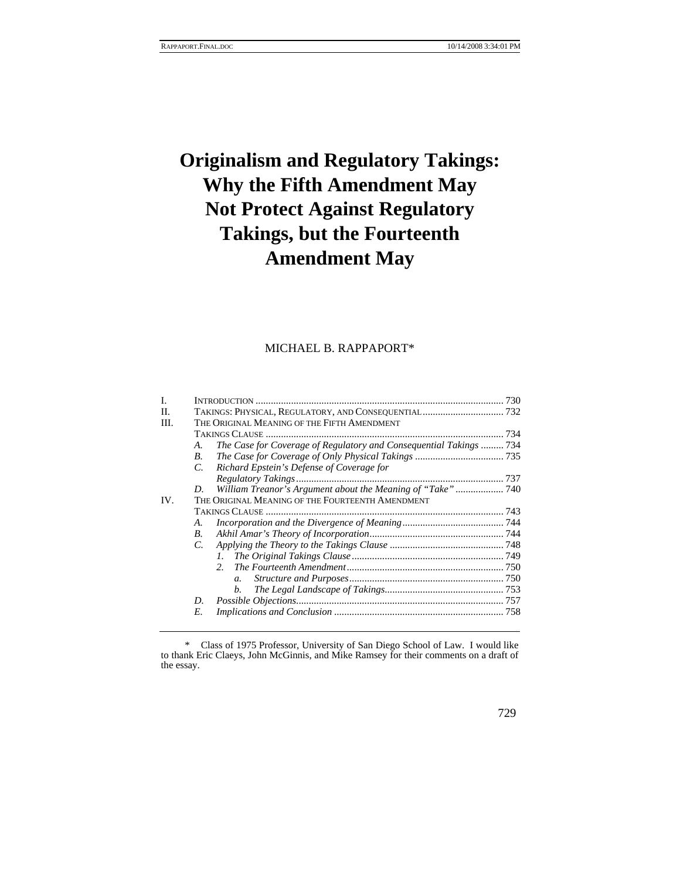# **Originalism and Regulatory Takings: Why the Fifth Amendment May Not Protect Against Regulatory Takings, but the Fourteenth Amendment May**

# MICHAEL B. RAPPAPORT\*

| I.  |                                                  |                                                                    |  |
|-----|--------------------------------------------------|--------------------------------------------------------------------|--|
| H.  |                                                  |                                                                    |  |
| HI. |                                                  | THE ORIGINAL MEANING OF THE FIFTH AMENDMENT                        |  |
|     |                                                  |                                                                    |  |
|     | A.                                               | The Case for Coverage of Regulatory and Consequential Takings  734 |  |
|     | $\boldsymbol{B}$                                 |                                                                    |  |
|     | C.                                               | Richard Epstein's Defense of Coverage for                          |  |
|     |                                                  |                                                                    |  |
|     | D.                                               | William Treanor's Argument about the Meaning of "Take" 740         |  |
| IV. | THE ORIGINAL MEANING OF THE FOURTEENTH AMENDMENT |                                                                    |  |
|     |                                                  |                                                                    |  |
|     | A.                                               |                                                                    |  |
|     | B.                                               |                                                                    |  |
|     | $C_{\cdot}$                                      |                                                                    |  |
|     |                                                  | $\mathcal{L}$                                                      |  |
|     |                                                  | 2 <sup>1</sup>                                                     |  |
|     |                                                  | $\mathfrak{a}$ .                                                   |  |
|     |                                                  | $h_{\cdot}$                                                        |  |
|     | D.                                               |                                                                    |  |
|     | E.                                               |                                                                    |  |
|     |                                                  |                                                                    |  |

 <sup>\*</sup> Class of 1975 Professor, University of San Diego School of Law. I would like to thank Eric Claeys, John McGinnis, and Mike Ramsey for their comments on a draft of the essay.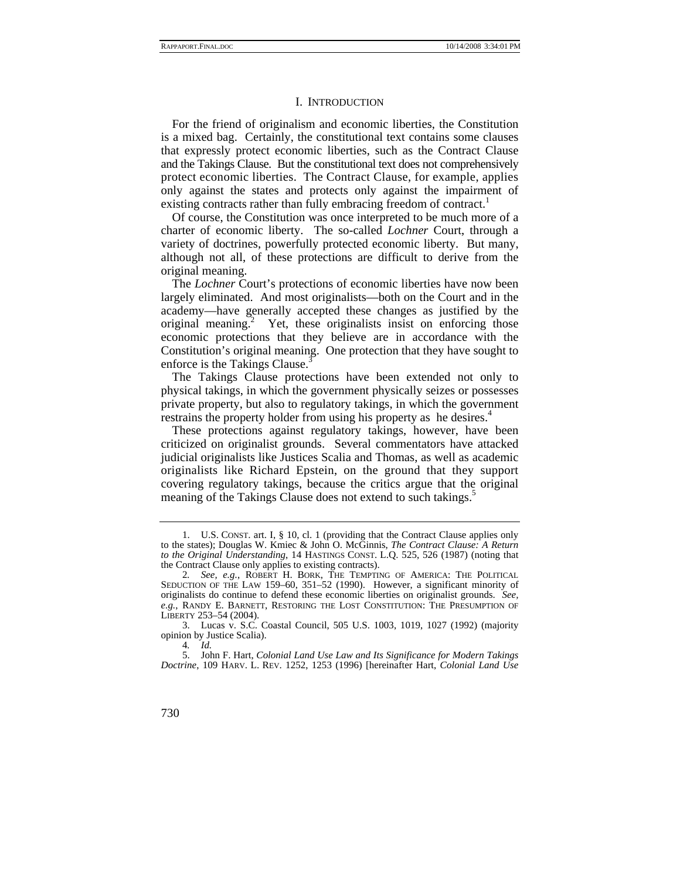#### I. INTRODUCTION

For the friend of originalism and economic liberties, the Constitution is a mixed bag. Certainly, the constitutional text contains some clauses that expressly protect economic liberties, such as the Contract Clause and the Takings Clause. But the constitutional text does not comprehensively protect economic liberties. The Contract Clause, for example, applies only against the states and protects only against the impairment of existing contracts rather than fully embracing freedom of contract.<sup>1</sup>

Of course, the Constitution was once interpreted to be much more of a charter of economic liberty. The so-called *Lochner* Court, through a variety of doctrines, powerfully protected economic liberty. But many, although not all, of these protections are difficult to derive from the original meaning.

The *Lochner* Court's protections of economic liberties have now been largely eliminated. And most originalists—both on the Court and in the academy—have generally accepted these changes as justified by the original meaning.2 Yet, these originalists insist on enforcing those economic protections that they believe are in accordance with the Constitution's original meaning. One protection that they have sought to enforce is the Takings Clause.<sup>3</sup>

The Takings Clause protections have been extended not only to physical takings, in which the government physically seizes or possesses private property, but also to regulatory takings, in which the government restrains the property holder from using his property as he desires.<sup>4</sup>

These protections against regulatory takings, however, have been criticized on originalist grounds. Several commentators have attacked judicial originalists like Justices Scalia and Thomas, as well as academic originalists like Richard Epstein, on the ground that they support covering regulatory takings, because the critics argue that the original meaning of the Takings Clause does not extend to such takings.<sup>5</sup>

 3. Lucas v. S.C. Coastal Council, 505 U.S. 1003, 1019, 1027 (1992) (majority opinion by Justice Scalia).

 <sup>1.</sup> U.S. CONST. art. I, § 10, cl. 1 (providing that the Contract Clause applies only to the states); Douglas W. Kmiec & John O. McGinnis, *The Contract Clause: A Return to the Original Understanding*, 14 HASTINGS CONST. L.Q. 525, 526 (1987) (noting that the Contract Clause only applies to existing contracts).

<sup>2</sup>*. See, e.g.*, ROBERT H. BORK, THE TEMPTING OF AMERICA: THE POLITICAL SEDUCTION OF THE LAW 159–60, 351–52 (1990). However, a significant minority of originalists do continue to defend these economic liberties on originalist grounds. *See, e.g.*, RANDY E. BARNETT, RESTORING THE LOST CONSTITUTION: THE PRESUMPTION OF LIBERTY 253–54 (2004).

<sup>4</sup>*. Id.*

 <sup>5.</sup> John F. Hart, *Colonial Land Use Law and Its Significance for Modern Takings Doctrine*, 109 HARV. L. REV. 1252, 1253 (1996) [hereinafter Hart, *Colonial Land Use*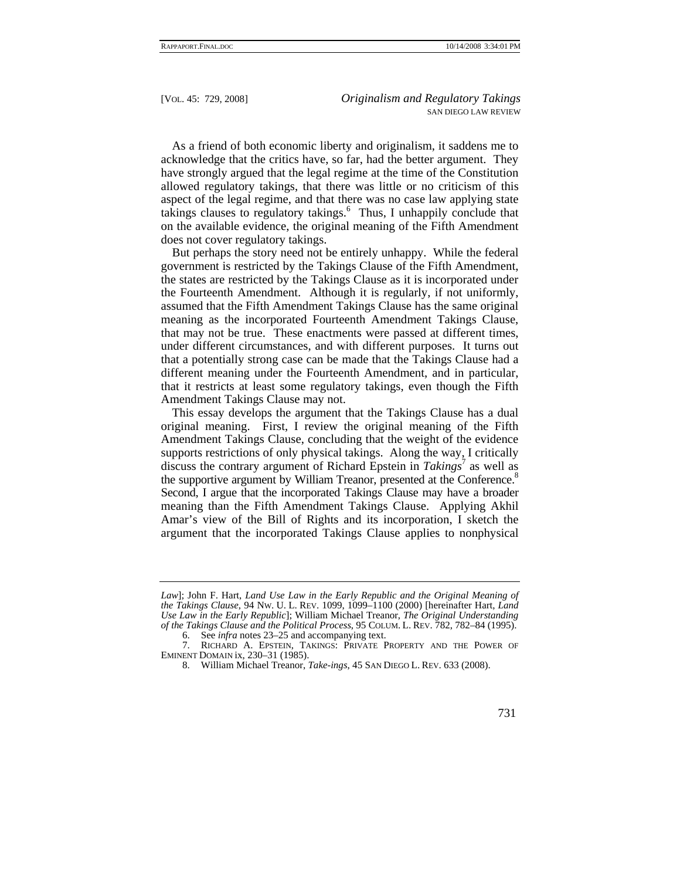As a friend of both economic liberty and originalism, it saddens me to acknowledge that the critics have, so far, had the better argument. They have strongly argued that the legal regime at the time of the Constitution allowed regulatory takings, that there was little or no criticism of this aspect of the legal regime, and that there was no case law applying state takings clauses to regulatory takings.<sup>6</sup> Thus, I unhappily conclude that on the available evidence, the original meaning of the Fifth Amendment does not cover regulatory takings.

But perhaps the story need not be entirely unhappy. While the federal government is restricted by the Takings Clause of the Fifth Amendment, the states are restricted by the Takings Clause as it is incorporated under the Fourteenth Amendment. Although it is regularly, if not uniformly, assumed that the Fifth Amendment Takings Clause has the same original meaning as the incorporated Fourteenth Amendment Takings Clause, that may not be true. These enactments were passed at different times, under different circumstances, and with different purposes. It turns out that a potentially strong case can be made that the Takings Clause had a different meaning under the Fourteenth Amendment, and in particular, that it restricts at least some regulatory takings, even though the Fifth Amendment Takings Clause may not.

This essay develops the argument that the Takings Clause has a dual original meaning. First, I review the original meaning of the Fifth Amendment Takings Clause, concluding that the weight of the evidence supports restrictions of only physical takings. Along the way, I critically discuss the contrary argument of Richard Epstein in *Takings*<sup>7</sup> as well as the supportive argument by William Treanor, presented at the Conference.<sup>8</sup> Second, I argue that the incorporated Takings Clause may have a broader meaning than the Fifth Amendment Takings Clause. Applying Akhil Amar's view of the Bill of Rights and its incorporation, I sketch the argument that the incorporated Takings Clause applies to nonphysical

*Law*]; John F. Hart, *Land Use Law in the Early Republic and the Original Meaning of the Takings Clause*, 94 NW. U. L. REV. 1099, 1099–1100 (2000) [hereinafter Hart, *Land Use Law in the Early Republic*]; William Michael Treanor, *The Original Understanding of the Takings Clause and the Political Process*, 95 COLUM. L. REV. 782, 782–84 (1995).

 <sup>6.</sup> See *infra* notes 23–25 and accompanying text.

 <sup>7.</sup> RICHARD A. EPSTEIN, TAKINGS: PRIVATE PROPERTY AND THE POWER OF EMINENT DOMAIN ix, 230–31 (1985).

 <sup>8.</sup> William Michael Treanor, *Take-ings*, 45 SAN DIEGO L. REV. 633 (2008).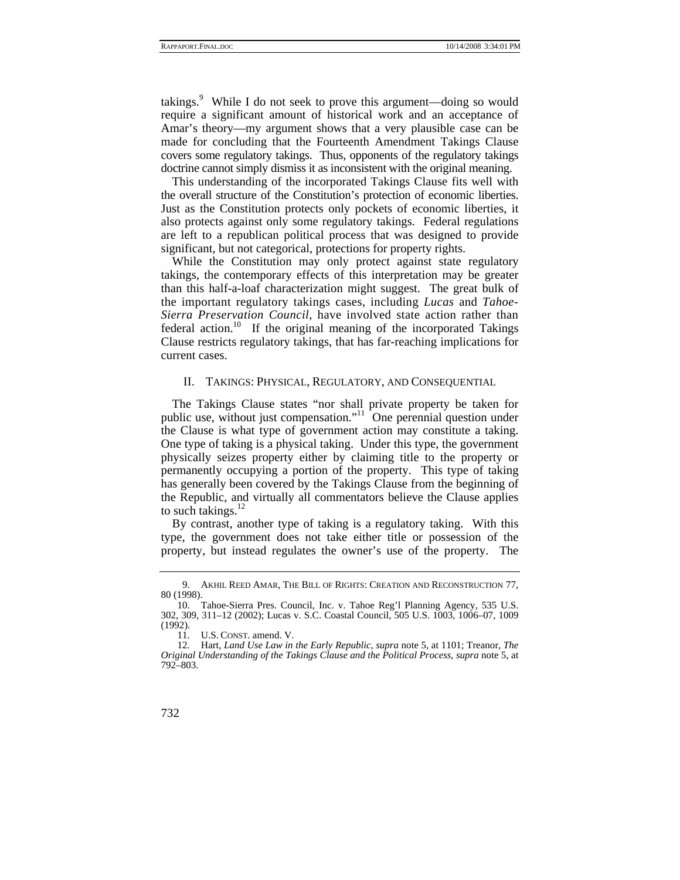takings.<sup>9</sup> While I do not seek to prove this argument—doing so would require a significant amount of historical work and an acceptance of Amar's theory—my argument shows that a very plausible case can be made for concluding that the Fourteenth Amendment Takings Clause covers some regulatory takings. Thus, opponents of the regulatory takings doctrine cannot simply dismiss it as inconsistent with the original meaning.

This understanding of the incorporated Takings Clause fits well with the overall structure of the Constitution's protection of economic liberties. Just as the Constitution protects only pockets of economic liberties, it also protects against only some regulatory takings. Federal regulations are left to a republican political process that was designed to provide significant, but not categorical, protections for property rights.

While the Constitution may only protect against state regulatory takings, the contemporary effects of this interpretation may be greater than this half-a-loaf characterization might suggest. The great bulk of the important regulatory takings cases, including *Lucas* and *Tahoe-Sierra Preservation Council*, have involved state action rather than federal action.<sup>10</sup> If the original meaning of the incorporated Takings Clause restricts regulatory takings, that has far-reaching implications for current cases.

#### II. TAKINGS: PHYSICAL, REGULATORY, AND CONSEQUENTIAL

The Takings Clause states "nor shall private property be taken for public use, without just compensation."<sup>11</sup> One perennial question under the Clause is what type of government action may constitute a taking. One type of taking is a physical taking. Under this type, the government physically seizes property either by claiming title to the property or permanently occupying a portion of the property. This type of taking has generally been covered by the Takings Clause from the beginning of the Republic, and virtually all commentators believe the Clause applies to such takings. $^{12}$ 

By contrast, another type of taking is a regulatory taking. With this type, the government does not take either title or possession of the property, but instead regulates the owner's use of the property. The

 <sup>9.</sup> AKHIL REED AMAR, THE BILL OF RIGHTS: CREATION AND RECONSTRUCTION 77, 80 (1998).

 <sup>10.</sup> Tahoe-Sierra Pres. Council, Inc. v. Tahoe Reg'l Planning Agency, 535 U.S. 302, 309, 311–12 (2002); Lucas v. S.C. Coastal Council, 505 U.S. 1003, 1006–07, 1009 (1992).

 <sup>11.</sup> U.S. CONST. amend. V.

 <sup>12.</sup> Hart, *Land Use Law in the Early Republic*, *supra* note 5, at 1101; Treanor, *The Original Understanding of the Takings Clause and the Political Process*, *supra* note 5, at 792–803.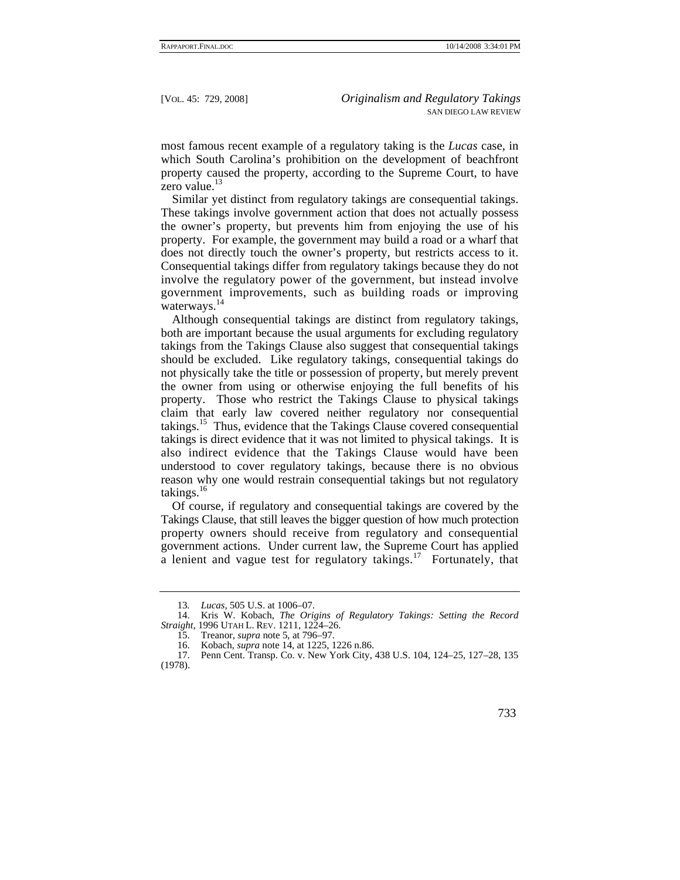most famous recent example of a regulatory taking is the *Lucas* case, in which South Carolina's prohibition on the development of beachfront property caused the property, according to the Supreme Court, to have zero value.<sup>13</sup>

Similar yet distinct from regulatory takings are consequential takings. These takings involve government action that does not actually possess the owner's property, but prevents him from enjoying the use of his property. For example, the government may build a road or a wharf that does not directly touch the owner's property, but restricts access to it. Consequential takings differ from regulatory takings because they do not involve the regulatory power of the government, but instead involve government improvements, such as building roads or improving waterways.<sup>14</sup>

Although consequential takings are distinct from regulatory takings, both are important because the usual arguments for excluding regulatory takings from the Takings Clause also suggest that consequential takings should be excluded. Like regulatory takings, consequential takings do not physically take the title or possession of property, but merely prevent the owner from using or otherwise enjoying the full benefits of his property. Those who restrict the Takings Clause to physical takings claim that early law covered neither regulatory nor consequential takings.<sup>15</sup> Thus, evidence that the Takings Clause covered consequential takings is direct evidence that it was not limited to physical takings. It is also indirect evidence that the Takings Clause would have been understood to cover regulatory takings, because there is no obvious reason why one would restrain consequential takings but not regulatory takings.<sup>16</sup>

Of course, if regulatory and consequential takings are covered by the Takings Clause, that still leaves the bigger question of how much protection property owners should receive from regulatory and consequential government actions. Under current law, the Supreme Court has applied a lenient and vague test for regulatory takings.<sup>17</sup> Fortunately, that

<sup>13</sup>*. Lucas*, 505 U.S. at 1006–07.

 <sup>14.</sup> Kris W. Kobach, *The Origins of Regulatory Takings: Setting the Record Straight*, 1996 UTAH L. REV. 1211, 1224–26.

 <sup>15.</sup> Treanor, *supra* note 5, at 796–97.

 <sup>16.</sup> Kobach, *supra* note 14, at 1225, 1226 n.86.

Penn Cent. Transp. Co. v. New York City, 438 U.S. 104, 124-25, 127-28, 135 (1978).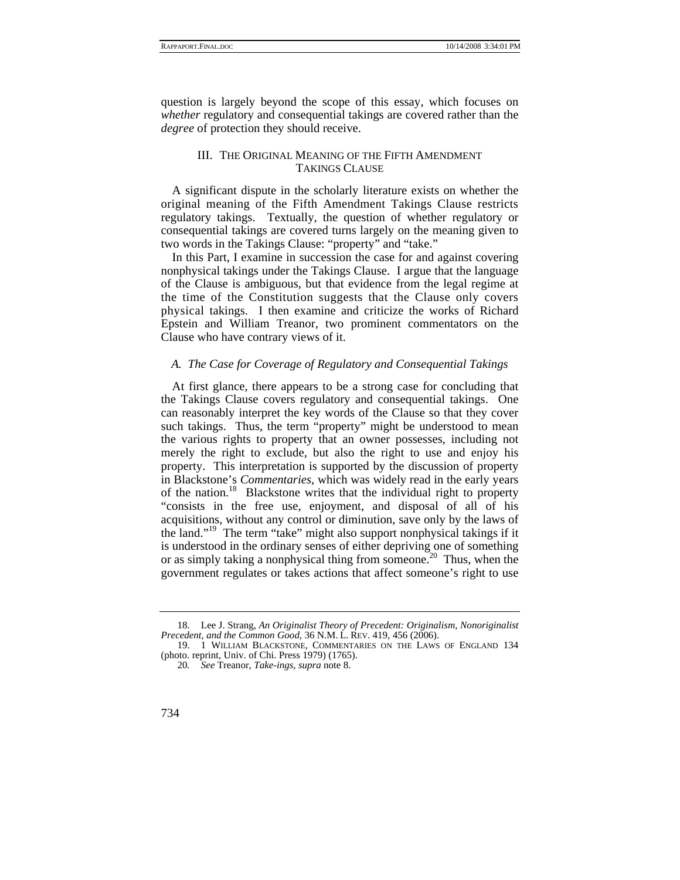question is largely beyond the scope of this essay, which focuses on *whether* regulatory and consequential takings are covered rather than the *degree* of protection they should receive.

## III. THE ORIGINAL MEANING OF THE FIFTH AMENDMENT TAKINGS CLAUSE

A significant dispute in the scholarly literature exists on whether the original meaning of the Fifth Amendment Takings Clause restricts regulatory takings. Textually, the question of whether regulatory or consequential takings are covered turns largely on the meaning given to two words in the Takings Clause: "property" and "take."

In this Part, I examine in succession the case for and against covering nonphysical takings under the Takings Clause. I argue that the language of the Clause is ambiguous, but that evidence from the legal regime at the time of the Constitution suggests that the Clause only covers physical takings. I then examine and criticize the works of Richard Epstein and William Treanor, two prominent commentators on the Clause who have contrary views of it.

### *A. The Case for Coverage of Regulatory and Consequential Takings*

At first glance, there appears to be a strong case for concluding that the Takings Clause covers regulatory and consequential takings. One can reasonably interpret the key words of the Clause so that they cover such takings. Thus, the term "property" might be understood to mean the various rights to property that an owner possesses, including not merely the right to exclude, but also the right to use and enjoy his property. This interpretation is supported by the discussion of property in Blackstone's *Commentaries*, which was widely read in the early years of the nation.<sup>18</sup> Blackstone writes that the individual right to property "consists in the free use, enjoyment, and disposal of all of his acquisitions, without any control or diminution, save only by the laws of the land."19 The term "take" might also support nonphysical takings if it is understood in the ordinary senses of either depriving one of something or as simply taking a nonphysical thing from someone.<sup>20</sup> Thus, when the government regulates or takes actions that affect someone's right to use

 <sup>18.</sup> Lee J. Strang, *An Originalist Theory of Precedent: Originalism, Nonoriginalist Precedent, and the Common Good*, 36 N.M. L. REV. 419, 456 (2006).

 <sup>19. 1</sup> WILLIAM BLACKSTONE, COMMENTARIES ON THE LAWS OF ENGLAND 134 (photo. reprint, Univ. of Chi. Press 1979) (1765).

<sup>20</sup>*. See* Treanor, *Take-ings*, *supra* note 8.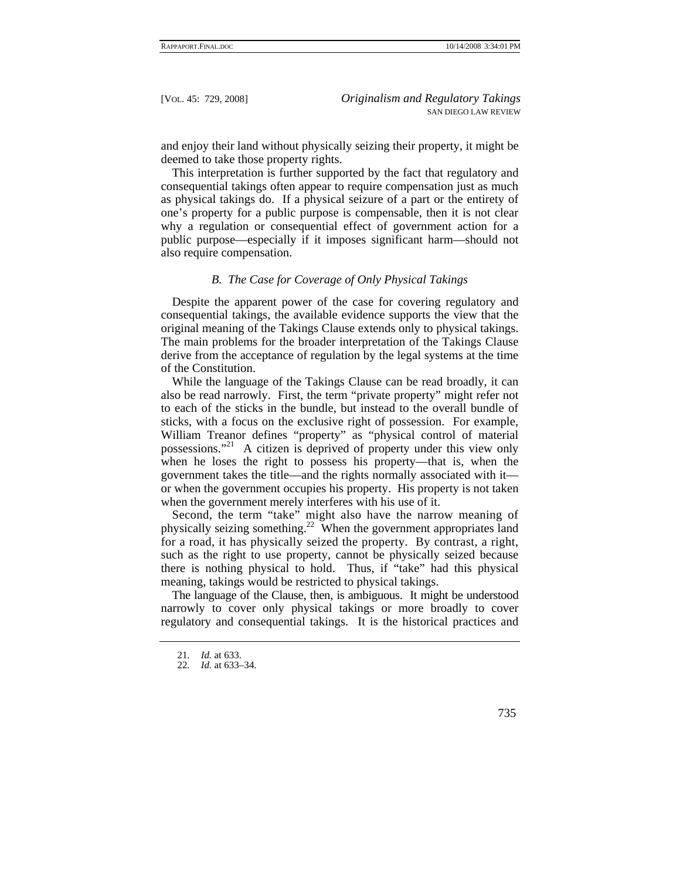and enjoy their land without physically seizing their property, it might be deemed to take those property rights.

This interpretation is further supported by the fact that regulatory and consequential takings often appear to require compensation just as much as physical takings do. If a physical seizure of a part or the entirety of one's property for a public purpose is compensable, then it is not clear why a regulation or consequential effect of government action for a public purpose—especially if it imposes significant harm—should not also require compensation.

## *B. The Case for Coverage of Only Physical Takings*

Despite the apparent power of the case for covering regulatory and consequential takings, the available evidence supports the view that the original meaning of the Takings Clause extends only to physical takings. The main problems for the broader interpretation of the Takings Clause derive from the acceptance of regulation by the legal systems at the time of the Constitution.

While the language of the Takings Clause can be read broadly, it can also be read narrowly. First, the term "private property" might refer not to each of the sticks in the bundle, but instead to the overall bundle of sticks, with a focus on the exclusive right of possession. For example, William Treanor defines "property" as "physical control of material possessions."21 A citizen is deprived of property under this view only when he loses the right to possess his property—that is, when the government takes the title—and the rights normally associated with it or when the government occupies his property. His property is not taken when the government merely interferes with his use of it.

Second, the term "take" might also have the narrow meaning of physically seizing something.22 When the government appropriates land for a road, it has physically seized the property. By contrast, a right, such as the right to use property, cannot be physically seized because there is nothing physical to hold. Thus, if "take" had this physical meaning, takings would be restricted to physical takings.

The language of the Clause, then, is ambiguous. It might be understood narrowly to cover only physical takings or more broadly to cover regulatory and consequential takings. It is the historical practices and

<sup>21</sup>*. Id.* at 633.

<sup>22</sup>*. Id.* at 633–34.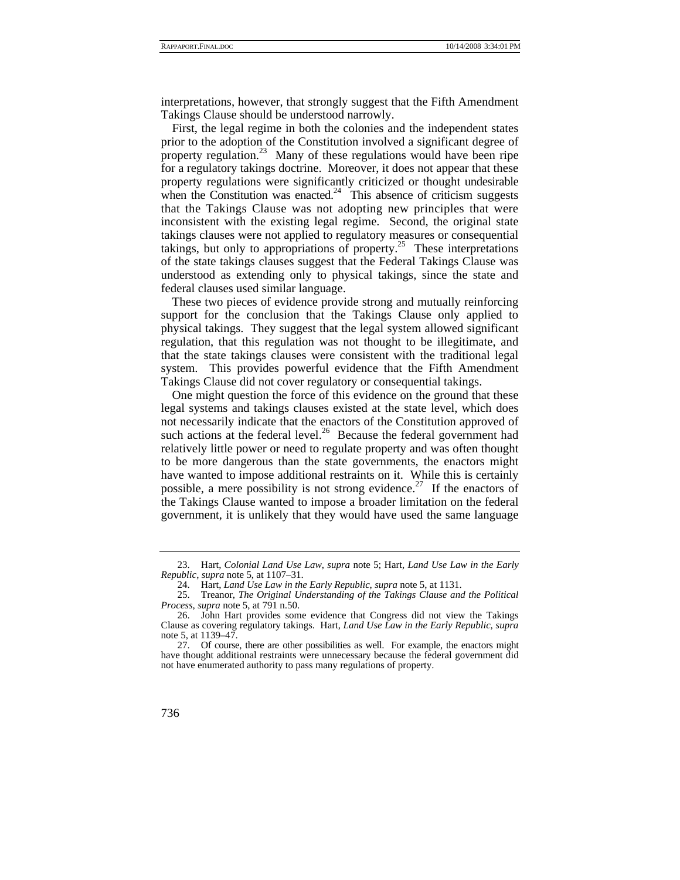interpretations, however, that strongly suggest that the Fifth Amendment Takings Clause should be understood narrowly.

First, the legal regime in both the colonies and the independent states prior to the adoption of the Constitution involved a significant degree of property regulation.<sup>23</sup> Many of these regulations would have been ripe for a regulatory takings doctrine. Moreover, it does not appear that these property regulations were significantly criticized or thought undesirable when the Constitution was enacted.<sup>24</sup> This absence of criticism suggests that the Takings Clause was not adopting new principles that were inconsistent with the existing legal regime. Second, the original state takings clauses were not applied to regulatory measures or consequential takings, but only to appropriations of property.<sup>25</sup> These interpretations of the state takings clauses suggest that the Federal Takings Clause was understood as extending only to physical takings, since the state and federal clauses used similar language.

These two pieces of evidence provide strong and mutually reinforcing support for the conclusion that the Takings Clause only applied to physical takings. They suggest that the legal system allowed significant regulation, that this regulation was not thought to be illegitimate, and that the state takings clauses were consistent with the traditional legal system. This provides powerful evidence that the Fifth Amendment Takings Clause did not cover regulatory or consequential takings.

One might question the force of this evidence on the ground that these legal systems and takings clauses existed at the state level, which does not necessarily indicate that the enactors of the Constitution approved of such actions at the federal level.<sup>26</sup> Because the federal government had relatively little power or need to regulate property and was often thought to be more dangerous than the state governments, the enactors might have wanted to impose additional restraints on it. While this is certainly possible, a mere possibility is not strong evidence.<sup>27</sup> If the enactors of the Takings Clause wanted to impose a broader limitation on the federal government, it is unlikely that they would have used the same language

 <sup>23.</sup> Hart, *Colonial Land Use Law*, *supra* note 5; Hart, *Land Use Law in the Early Republic*, *supra* note 5, at 1107–31.

 <sup>24.</sup> Hart, *Land Use Law in the Early Republic*, *supra* note 5, at 1131.

 <sup>25.</sup> Treanor, *The Original Understanding of the Takings Clause and the Political Process*, *supra* note 5, at 791 n.50.

 <sup>26.</sup> John Hart provides some evidence that Congress did not view the Takings Clause as covering regulatory takings. Hart, *Land Use Law in the Early Republic*, *supra*  note 5, at 1139–47.

 <sup>27.</sup> Of course, there are other possibilities as well. For example, the enactors might have thought additional restraints were unnecessary because the federal government did not have enumerated authority to pass many regulations of property.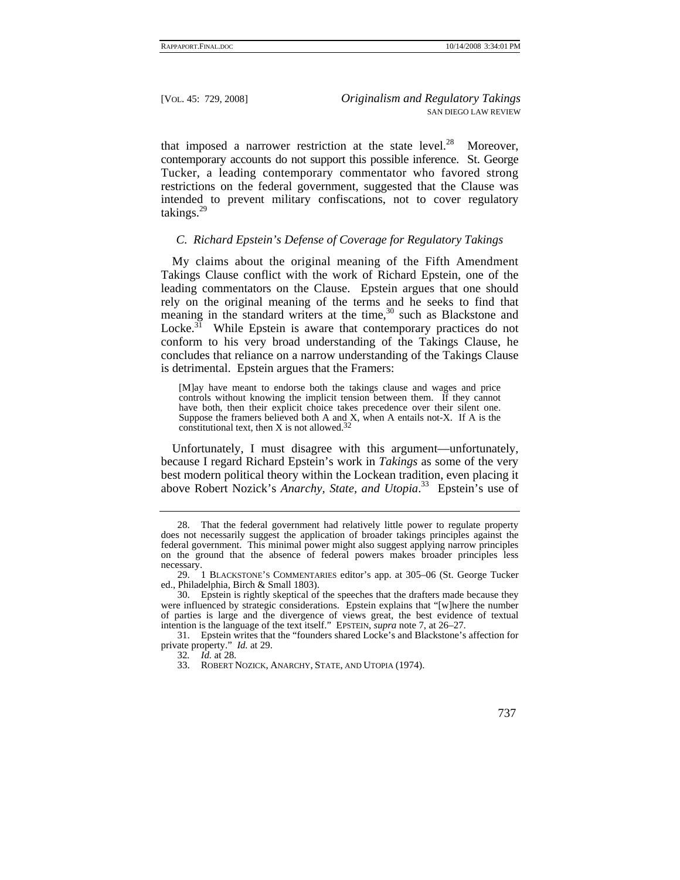that imposed a narrower restriction at the state level. $28$  Moreover, contemporary accounts do not support this possible inference. St. George Tucker, a leading contemporary commentator who favored strong restrictions on the federal government, suggested that the Clause was intended to prevent military confiscations, not to cover regulatory takings.<sup>29</sup>

## *C. Richard Epstein's Defense of Coverage for Regulatory Takings*

My claims about the original meaning of the Fifth Amendment Takings Clause conflict with the work of Richard Epstein, one of the leading commentators on the Clause. Epstein argues that one should rely on the original meaning of the terms and he seeks to find that meaning in the standard writers at the time,  $30$  such as Blackstone and Locke. $3^1$  While Epstein is aware that contemporary practices do not conform to his very broad understanding of the Takings Clause, he concludes that reliance on a narrow understanding of the Takings Clause is detrimental. Epstein argues that the Framers:

[M]ay have meant to endorse both the takings clause and wages and price controls without knowing the implicit tension between them. If they cannot have both, then their explicit choice takes precedence over their silent one. Suppose the framers believed both A and X, when A entails not-X. If A is the constitutional text, then X is not allowed.<sup>32</sup>

Unfortunately, I must disagree with this argument—unfortunately, because I regard Richard Epstein's work in *Takings* as some of the very best modern political theory within the Lockean tradition, even placing it above Robert Nozick's *Anarchy, State, and Utopia*. 33 Epstein's use of

 <sup>28.</sup> That the federal government had relatively little power to regulate property does not necessarily suggest the application of broader takings principles against the federal government. This minimal power might also suggest applying narrow principles on the ground that the absence of federal powers makes broader principles less necessary.

 <sup>29. 1</sup> BLACKSTONE'S COMMENTARIES editor's app. at 305–06 (St. George Tucker ed., Philadelphia, Birch & Small 1803).

 <sup>30.</sup> Epstein is rightly skeptical of the speeches that the drafters made because they were influenced by strategic considerations. Epstein explains that "[w]here the number of parties is large and the divergence of views great, the best evidence of textual intention is the language of the text itself." EPSTEIN, *supra* note 7, at 26–27.

 <sup>31.</sup> Epstein writes that the "founders shared Locke's and Blackstone's affection for private property." *Id.* at 29.

<sup>32</sup>*. Id.* at 28.

 <sup>33.</sup> ROBERT NOZICK, ANARCHY, STATE, AND UTOPIA (1974).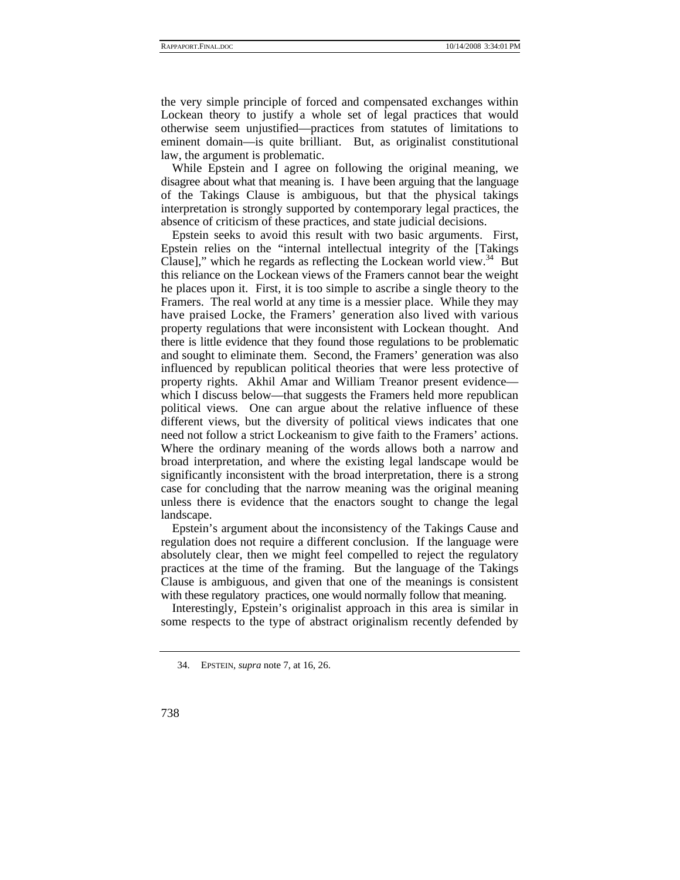the very simple principle of forced and compensated exchanges within Lockean theory to justify a whole set of legal practices that would otherwise seem unjustified—practices from statutes of limitations to eminent domain—is quite brilliant. But, as originalist constitutional law, the argument is problematic.

While Epstein and I agree on following the original meaning, we disagree about what that meaning is. I have been arguing that the language of the Takings Clause is ambiguous, but that the physical takings interpretation is strongly supported by contemporary legal practices, the absence of criticism of these practices, and state judicial decisions.

Epstein seeks to avoid this result with two basic arguments. First, Epstein relies on the "internal intellectual integrity of the [Takings Clause]," which he regards as reflecting the Lockean world view. $34$  But this reliance on the Lockean views of the Framers cannot bear the weight he places upon it. First, it is too simple to ascribe a single theory to the Framers. The real world at any time is a messier place. While they may have praised Locke, the Framers' generation also lived with various property regulations that were inconsistent with Lockean thought. And there is little evidence that they found those regulations to be problematic and sought to eliminate them. Second, the Framers' generation was also influenced by republican political theories that were less protective of property rights. Akhil Amar and William Treanor present evidence which I discuss below—that suggests the Framers held more republican political views. One can argue about the relative influence of these different views, but the diversity of political views indicates that one need not follow a strict Lockeanism to give faith to the Framers' actions. Where the ordinary meaning of the words allows both a narrow and broad interpretation, and where the existing legal landscape would be significantly inconsistent with the broad interpretation, there is a strong case for concluding that the narrow meaning was the original meaning unless there is evidence that the enactors sought to change the legal landscape.

Epstein's argument about the inconsistency of the Takings Cause and regulation does not require a different conclusion. If the language were absolutely clear, then we might feel compelled to reject the regulatory practices at the time of the framing. But the language of the Takings Clause is ambiguous, and given that one of the meanings is consistent with these regulatory practices, one would normally follow that meaning.

Interestingly, Epstein's originalist approach in this area is similar in some respects to the type of abstract originalism recently defended by

 <sup>34.</sup> EPSTEIN, *supra* note 7, at 16, 26.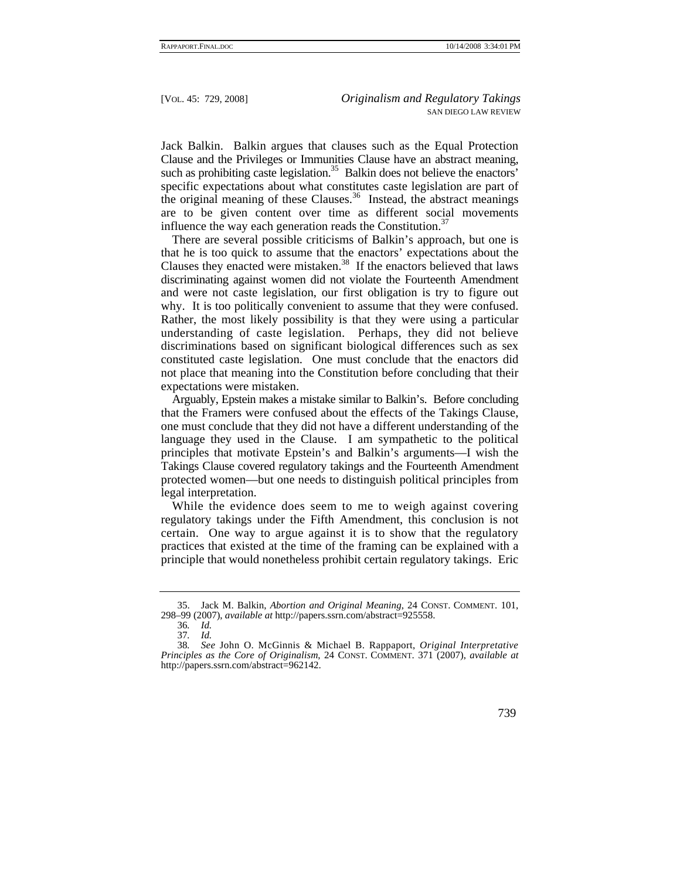Jack Balkin. Balkin argues that clauses such as the Equal Protection Clause and the Privileges or Immunities Clause have an abstract meaning, such as prohibiting caste legislation.<sup>35</sup> Balkin does not believe the enactors' specific expectations about what constitutes caste legislation are part of the original meaning of these Clauses.<sup>36</sup> Instead, the abstract meanings are to be given content over time as different social movements influence the way each generation reads the Constitution.<sup>37</sup>

There are several possible criticisms of Balkin's approach, but one is that he is too quick to assume that the enactors' expectations about the Clauses they enacted were mistaken.<sup>38</sup> If the enactors believed that laws discriminating against women did not violate the Fourteenth Amendment and were not caste legislation, our first obligation is try to figure out why. It is too politically convenient to assume that they were confused. Rather, the most likely possibility is that they were using a particular understanding of caste legislation. Perhaps, they did not believe discriminations based on significant biological differences such as sex constituted caste legislation. One must conclude that the enactors did not place that meaning into the Constitution before concluding that their expectations were mistaken.

Arguably, Epstein makes a mistake similar to Balkin's. Before concluding that the Framers were confused about the effects of the Takings Clause, one must conclude that they did not have a different understanding of the language they used in the Clause. I am sympathetic to the political principles that motivate Epstein's and Balkin's arguments—I wish the Takings Clause covered regulatory takings and the Fourteenth Amendment protected women—but one needs to distinguish political principles from legal interpretation.

While the evidence does seem to me to weigh against covering regulatory takings under the Fifth Amendment, this conclusion is not certain. One way to argue against it is to show that the regulatory practices that existed at the time of the framing can be explained with a principle that would nonetheless prohibit certain regulatory takings. Eric

 <sup>35.</sup> Jack M. Balkin, *Abortion and Original Meaning*, 24 CONST. COMMENT. 101, 298–99 (2007), *available at* http://papers.ssrn.com/abstract=925558.

<sup>36</sup>*. Id.*

<sup>37</sup>*. Id.*

<sup>38</sup>*. See* John O. McGinnis & Michael B. Rappaport, *Original Interpretative Principles as the Core of Originalism*, 24 CONST. COMMENT. 371 (2007), *available at*  http://papers.ssrn.com/abstract=962142.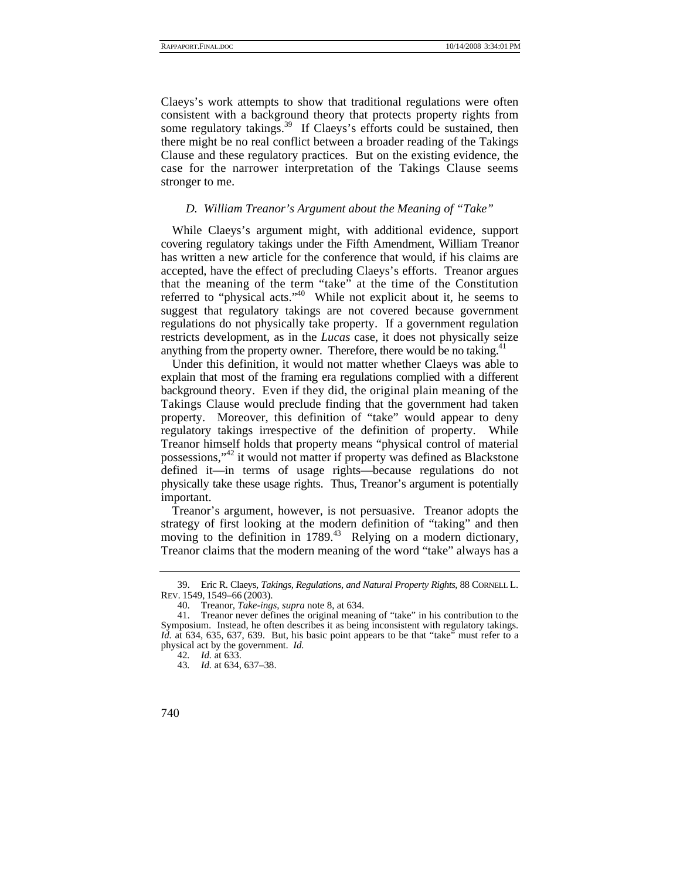Claeys's work attempts to show that traditional regulations were often consistent with a background theory that protects property rights from some regulatory takings.<sup>39</sup> If Claeys's efforts could be sustained, then there might be no real conflict between a broader reading of the Takings Clause and these regulatory practices. But on the existing evidence, the case for the narrower interpretation of the Takings Clause seems stronger to me.

#### *D. William Treanor's Argument about the Meaning of "Take"*

While Claeys's argument might, with additional evidence, support covering regulatory takings under the Fifth Amendment, William Treanor has written a new article for the conference that would, if his claims are accepted, have the effect of precluding Claeys's efforts. Treanor argues that the meaning of the term "take" at the time of the Constitution referred to "physical acts."40 While not explicit about it, he seems to suggest that regulatory takings are not covered because government regulations do not physically take property. If a government regulation restricts development, as in the *Lucas* case, it does not physically seize anything from the property owner. Therefore, there would be no taking. $41$ 

Under this definition, it would not matter whether Claeys was able to explain that most of the framing era regulations complied with a different background theory. Even if they did, the original plain meaning of the Takings Clause would preclude finding that the government had taken property. Moreover, this definition of "take" would appear to deny regulatory takings irrespective of the definition of property. While Treanor himself holds that property means "physical control of material possessions,"42 it would not matter if property was defined as Blackstone defined it—in terms of usage rights—because regulations do not physically take these usage rights. Thus, Treanor's argument is potentially important.

Treanor's argument, however, is not persuasive. Treanor adopts the strategy of first looking at the modern definition of "taking" and then moving to the definition in 1789.<sup>43</sup> Relying on a modern dictionary, Treanor claims that the modern meaning of the word "take" always has a

 <sup>39.</sup> Eric R. Claeys, *Takings, Regulations, and Natural Property Rights*, 88 CORNELL L. REV. 1549, 1549–66 (2003).

 <sup>40.</sup> Treanor, *Take-ings*, *supra* note 8, at 634.

 <sup>41.</sup> Treanor never defines the original meaning of "take" in his contribution to the Symposium. Instead, he often describes it as being inconsistent with regulatory takings. *Id.* at 634, 635, 637, 639. But, his basic point appears to be that "take" must refer to a physical act by the government. *Id.*

<sup>42</sup>*. Id.* at 633.

<sup>43</sup>*. Id.* at 634, 637–38.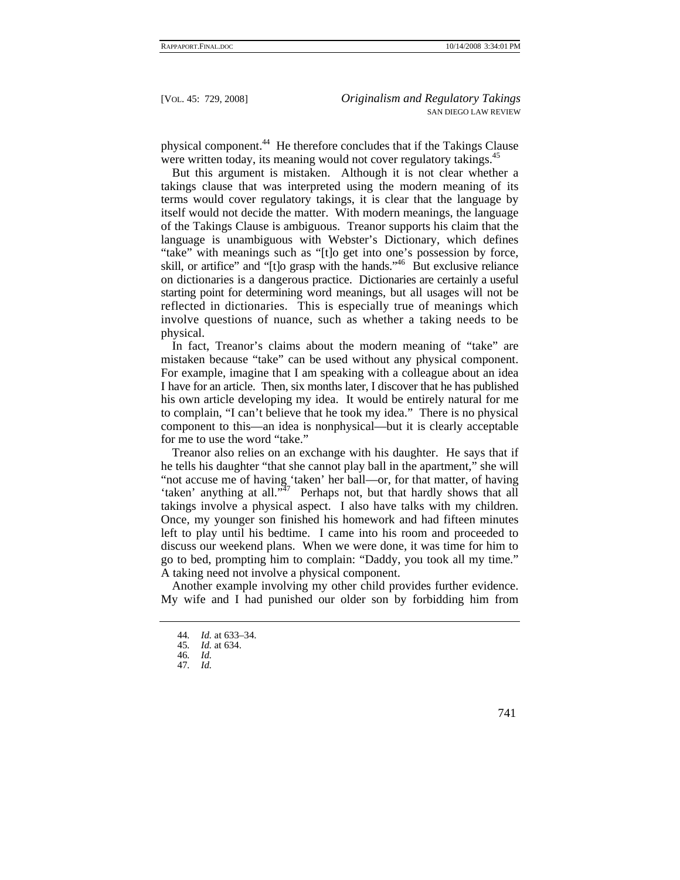physical component.44 He therefore concludes that if the Takings Clause were written today, its meaning would not cover regulatory takings.<sup>45</sup>

But this argument is mistaken. Although it is not clear whether a takings clause that was interpreted using the modern meaning of its terms would cover regulatory takings, it is clear that the language by itself would not decide the matter. With modern meanings, the language of the Takings Clause is ambiguous. Treanor supports his claim that the language is unambiguous with Webster's Dictionary, which defines "take" with meanings such as "[t]o get into one's possession by force, skill, or artifice" and " $[t]$ o grasp with the hands."<sup>46</sup> But exclusive reliance on dictionaries is a dangerous practice. Dictionaries are certainly a useful starting point for determining word meanings, but all usages will not be reflected in dictionaries. This is especially true of meanings which involve questions of nuance, such as whether a taking needs to be physical.

In fact. Treanor's claims about the modern meaning of "take" are mistaken because "take" can be used without any physical component. For example, imagine that I am speaking with a colleague about an idea I have for an article. Then, six months later, I discover that he has published his own article developing my idea. It would be entirely natural for me to complain, "I can't believe that he took my idea." There is no physical component to this—an idea is nonphysical—but it is clearly acceptable for me to use the word "take."

Treanor also relies on an exchange with his daughter. He says that if he tells his daughter "that she cannot play ball in the apartment," she will "not accuse me of having 'taken' her ball—or, for that matter, of having 'taken' anything at all."47 Perhaps not, but that hardly shows that all takings involve a physical aspect. I also have talks with my children. Once, my younger son finished his homework and had fifteen minutes left to play until his bedtime. I came into his room and proceeded to discuss our weekend plans. When we were done, it was time for him to go to bed, prompting him to complain: "Daddy, you took all my time." A taking need not involve a physical component.

Another example involving my other child provides further evidence. My wife and I had punished our older son by forbidding him from

<sup>44</sup>*. Id.* at 633–34.

<sup>45</sup>*. Id.* at 634.

<sup>46</sup>*. Id.*

<sup>47</sup>*. Id.*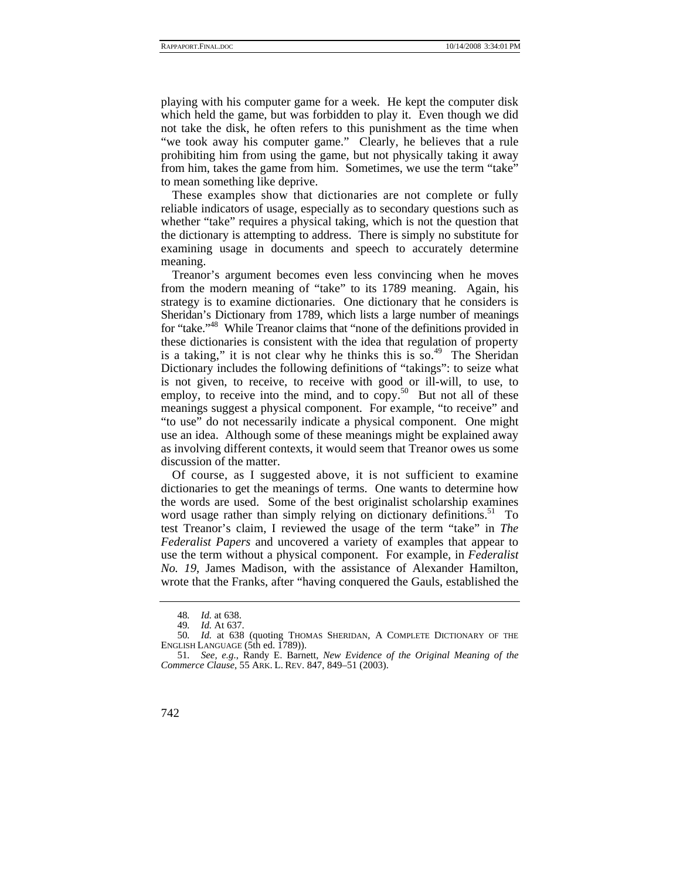playing with his computer game for a week. He kept the computer disk which held the game, but was forbidden to play it. Even though we did not take the disk, he often refers to this punishment as the time when "we took away his computer game." Clearly, he believes that a rule prohibiting him from using the game, but not physically taking it away from him, takes the game from him. Sometimes, we use the term "take" to mean something like deprive.

These examples show that dictionaries are not complete or fully reliable indicators of usage, especially as to secondary questions such as whether "take" requires a physical taking, which is not the question that the dictionary is attempting to address. There is simply no substitute for examining usage in documents and speech to accurately determine meaning.

Treanor's argument becomes even less convincing when he moves from the modern meaning of "take" to its 1789 meaning. Again, his strategy is to examine dictionaries. One dictionary that he considers is Sheridan's Dictionary from 1789, which lists a large number of meanings for "take."48 While Treanor claims that "none of the definitions provided in these dictionaries is consistent with the idea that regulation of property is a taking," it is not clear why he thinks this is so.<sup>49</sup> The Sheridan Dictionary includes the following definitions of "takings": to seize what is not given, to receive, to receive with good or ill-will, to use, to employ, to receive into the mind, and to  $\exp^{-50}$  But not all of these meanings suggest a physical component. For example, "to receive" and "to use" do not necessarily indicate a physical component. One might use an idea. Although some of these meanings might be explained away as involving different contexts, it would seem that Treanor owes us some discussion of the matter.

Of course, as I suggested above, it is not sufficient to examine dictionaries to get the meanings of terms. One wants to determine how the words are used. Some of the best originalist scholarship examines word usage rather than simply relying on dictionary definitions.<sup>51</sup> To test Treanor's claim, I reviewed the usage of the term "take" in *The Federalist Papers* and uncovered a variety of examples that appear to use the term without a physical component. For example, in *Federalist No. 19*, James Madison, with the assistance of Alexander Hamilton, wrote that the Franks, after "having conquered the Gauls, established the

<sup>48</sup>*. Id.* at 638.

<sup>49</sup>*. Id.* At 637.

<sup>50</sup>*. Id.* at 638 (quoting THOMAS SHERIDAN, A COMPLETE DICTIONARY OF THE ENGLISH LANGUAGE (5th ed. 1789)).

<sup>51</sup>*. See, e.g.*, Randy E. Barnett, *New Evidence of the Original Meaning of the Commerce Clause*, 55 ARK. L. REV. 847, 849–51 (2003).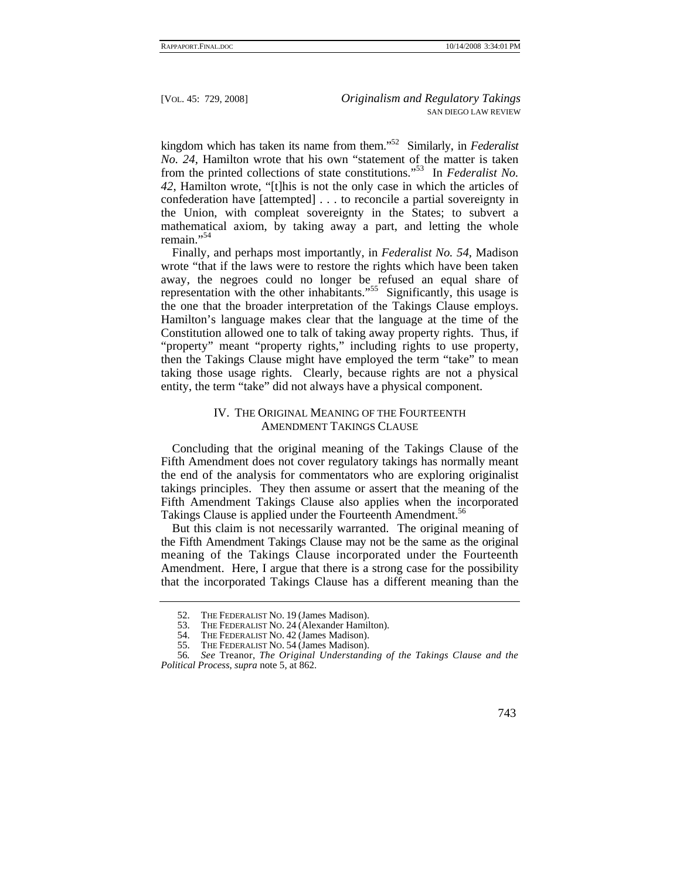kingdom which has taken its name from them."52 Similarly, in *Federalist No. 24*, Hamilton wrote that his own "statement of the matter is taken from the printed collections of state constitutions."53 In *Federalist No. 42*, Hamilton wrote, "[t]his is not the only case in which the articles of confederation have [attempted] . . . to reconcile a partial sovereignty in the Union, with compleat sovereignty in the States; to subvert a mathematical axiom, by taking away a part, and letting the whole remain<sup>"54</sup>

Finally, and perhaps most importantly, in *Federalist No. 54*, Madison wrote "that if the laws were to restore the rights which have been taken away, the negroes could no longer be refused an equal share of representation with the other inhabitants."<sup>55</sup> Significantly, this usage is the one that the broader interpretation of the Takings Clause employs. Hamilton's language makes clear that the language at the time of the Constitution allowed one to talk of taking away property rights. Thus, if "property" meant "property rights," including rights to use property, then the Takings Clause might have employed the term "take" to mean taking those usage rights. Clearly, because rights are not a physical entity, the term "take" did not always have a physical component.

## IV. THE ORIGINAL MEANING OF THE FOURTEENTH AMENDMENT TAKINGS CLAUSE

Concluding that the original meaning of the Takings Clause of the Fifth Amendment does not cover regulatory takings has normally meant the end of the analysis for commentators who are exploring originalist takings principles. They then assume or assert that the meaning of the Fifth Amendment Takings Clause also applies when the incorporated Takings Clause is applied under the Fourteenth Amendment.<sup>56</sup>

But this claim is not necessarily warranted. The original meaning of the Fifth Amendment Takings Clause may not be the same as the original meaning of the Takings Clause incorporated under the Fourteenth Amendment. Here, I argue that there is a strong case for the possibility that the incorporated Takings Clause has a different meaning than the

<sup>52.</sup> THE FEDERALIST NO. 19 (James Madison).<br>53. THE FEDERALIST NO. 24 (Alexander Hamil

THE FEDERALIST NO. 24 (Alexander Hamilton).

 <sup>54.</sup> THE FEDERALIST NO. 42 (James Madison).

 <sup>55.</sup> THE FEDERALIST NO. 54 (James Madison).

<sup>56</sup>*. See* Treanor, *The Original Understanding of the Takings Clause and the Political Process*, *supra* note 5, at 862.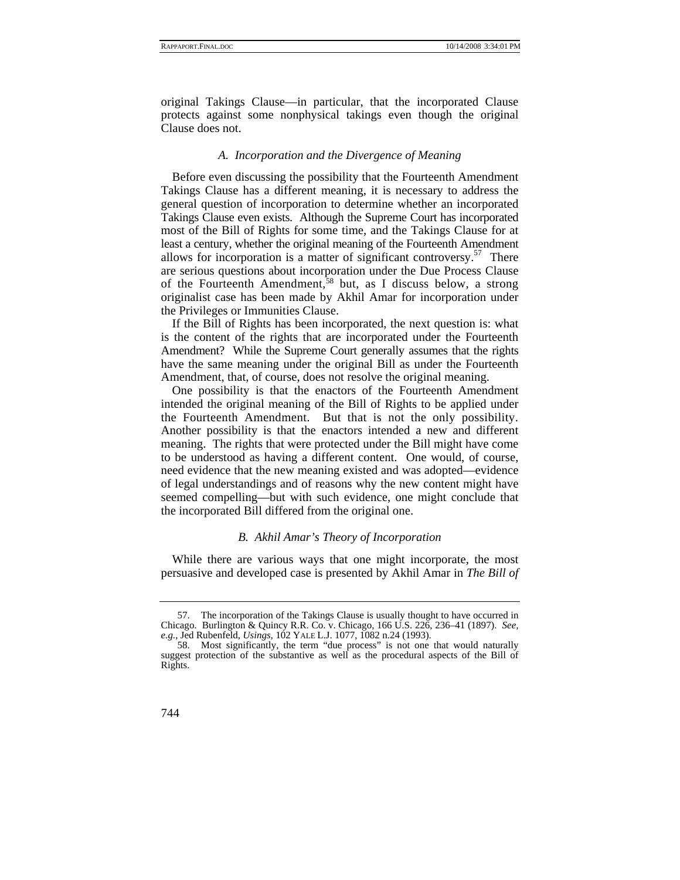original Takings Clause—in particular, that the incorporated Clause protects against some nonphysical takings even though the original Clause does not.

#### *A. Incorporation and the Divergence of Meaning*

Before even discussing the possibility that the Fourteenth Amendment Takings Clause has a different meaning, it is necessary to address the general question of incorporation to determine whether an incorporated Takings Clause even exists. Although the Supreme Court has incorporated most of the Bill of Rights for some time, and the Takings Clause for at least a century, whether the original meaning of the Fourteenth Amendment allows for incorporation is a matter of significant controversy.<sup>57</sup> There are serious questions about incorporation under the Due Process Clause of the Fourteenth Amendment,<sup>58</sup> but, as I discuss below, a strong originalist case has been made by Akhil Amar for incorporation under the Privileges or Immunities Clause.

If the Bill of Rights has been incorporated, the next question is: what is the content of the rights that are incorporated under the Fourteenth Amendment? While the Supreme Court generally assumes that the rights have the same meaning under the original Bill as under the Fourteenth Amendment, that, of course, does not resolve the original meaning.

One possibility is that the enactors of the Fourteenth Amendment intended the original meaning of the Bill of Rights to be applied under the Fourteenth Amendment. But that is not the only possibility. Another possibility is that the enactors intended a new and different meaning. The rights that were protected under the Bill might have come to be understood as having a different content. One would, of course, need evidence that the new meaning existed and was adopted—evidence of legal understandings and of reasons why the new content might have seemed compelling—but with such evidence, one might conclude that the incorporated Bill differed from the original one.

## *B. Akhil Amar's Theory of Incorporation*

While there are various ways that one might incorporate, the most persuasive and developed case is presented by Akhil Amar in *The Bill of* 

 <sup>57.</sup> The incorporation of the Takings Clause is usually thought to have occurred in Chicago. Burlington & Quincy R.R. Co. v. Chicago, 166 U.S. 226, 236–41 (1897). *See, e.g.*, Jed Rubenfeld, *Usings*, 102 YALE L.J. 1077, 1082 n.24 (1993).

 <sup>58.</sup> Most significantly, the term "due process" is not one that would naturally suggest protection of the substantive as well as the procedural aspects of the Bill of Rights.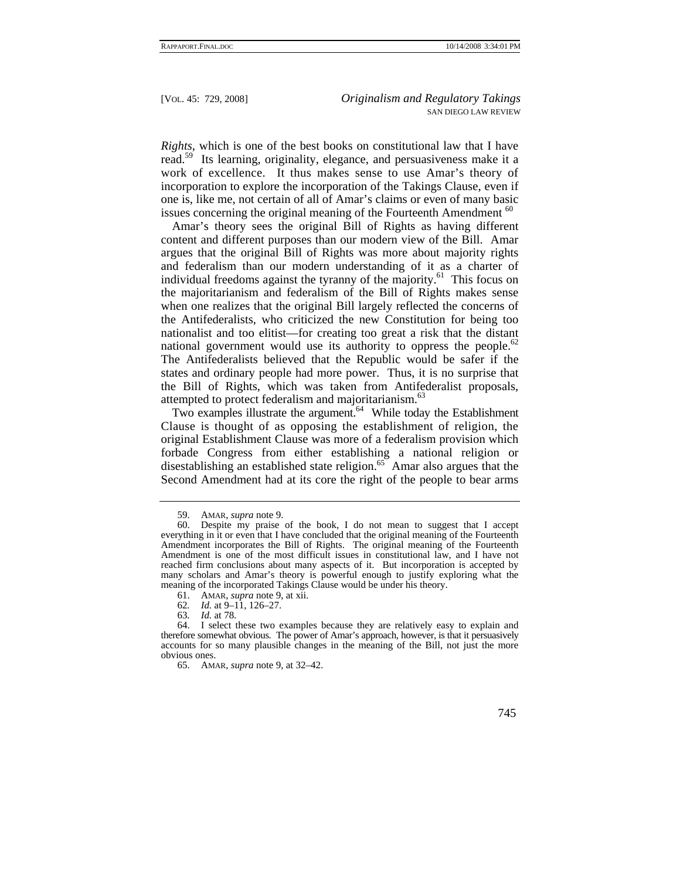*Rights*, which is one of the best books on constitutional law that I have read.<sup>59</sup> Its learning, originality, elegance, and persuasiveness make it a work of excellence. It thus makes sense to use Amar's theory of incorporation to explore the incorporation of the Takings Clause, even if one is, like me, not certain of all of Amar's claims or even of many basic issues concerning the original meaning of the Fourteenth Amendment  $60$ 

Amar's theory sees the original Bill of Rights as having different content and different purposes than our modern view of the Bill. Amar argues that the original Bill of Rights was more about majority rights and federalism than our modern understanding of it as a charter of individual freedoms against the tyranny of the majority.<sup>61</sup> This focus on the majoritarianism and federalism of the Bill of Rights makes sense when one realizes that the original Bill largely reflected the concerns of the Antifederalists, who criticized the new Constitution for being too nationalist and too elitist—for creating too great a risk that the distant national government would use its authority to oppress the people.<sup>62</sup> The Antifederalists believed that the Republic would be safer if the states and ordinary people had more power. Thus, it is no surprise that the Bill of Rights, which was taken from Antifederalist proposals, attempted to protect federalism and majoritarianism.<sup>63</sup>

Two examples illustrate the argument.<sup>64</sup> While today the Establishment Clause is thought of as opposing the establishment of religion, the original Establishment Clause was more of a federalism provision which forbade Congress from either establishing a national religion or disestablishing an established state religion.<sup>65</sup> Amar also argues that the Second Amendment had at its core the right of the people to bear arms

 <sup>59.</sup> AMAR, *supra* note 9.

 <sup>60.</sup> Despite my praise of the book, I do not mean to suggest that I accept everything in it or even that I have concluded that the original meaning of the Fourteenth Amendment incorporates the Bill of Rights. The original meaning of the Fourteenth Amendment is one of the most difficult issues in constitutional law, and I have not reached firm conclusions about many aspects of it. But incorporation is accepted by many scholars and Amar's theory is powerful enough to justify exploring what the meaning of the incorporated Takings Clause would be under his theory.

 <sup>61.</sup> AMAR, *supra* note 9, at xii.

<sup>62</sup>*. Id.* at 9–11, 126–27.

<sup>63</sup>*. Id.* at 78.

 <sup>64.</sup> I select these two examples because they are relatively easy to explain and therefore somewhat obvious. The power of Amar's approach, however, is that it persuasively accounts for so many plausible changes in the meaning of the Bill, not just the more obvious ones.

 <sup>65.</sup> AMAR, *supra* note 9, at 32–42.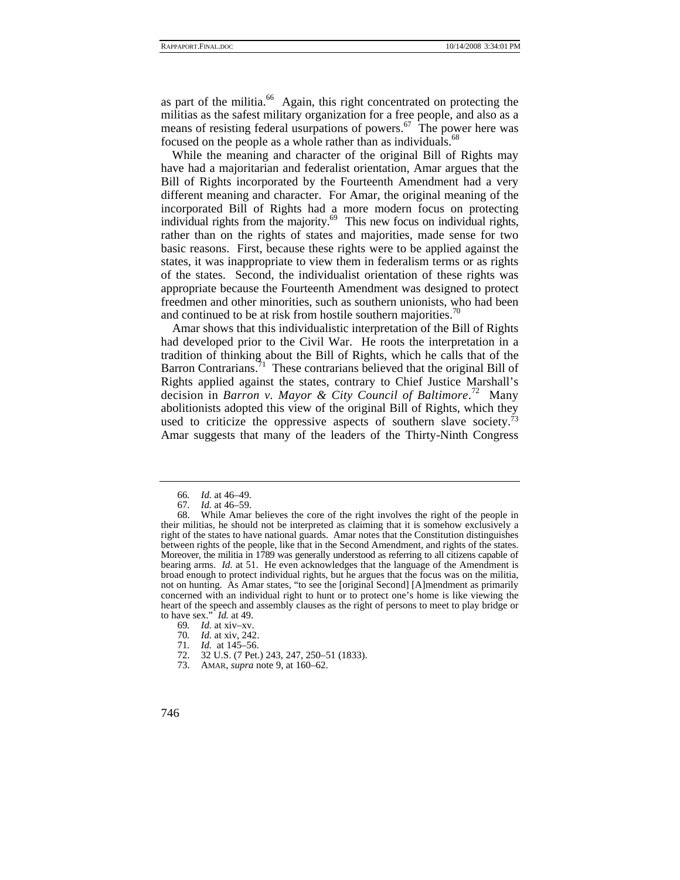as part of the militia. $^{66}$  Again, this right concentrated on protecting the militias as the safest military organization for a free people, and also as a means of resisting federal usurpations of powers.<sup>67</sup> The power here was focused on the people as a whole rather than as individuals.<sup>68</sup>

While the meaning and character of the original Bill of Rights may have had a majoritarian and federalist orientation, Amar argues that the Bill of Rights incorporated by the Fourteenth Amendment had a very different meaning and character. For Amar, the original meaning of the incorporated Bill of Rights had a more modern focus on protecting individual rights from the majority. $69$  This new focus on individual rights, rather than on the rights of states and majorities, made sense for two basic reasons. First, because these rights were to be applied against the states, it was inappropriate to view them in federalism terms or as rights of the states. Second, the individualist orientation of these rights was appropriate because the Fourteenth Amendment was designed to protect freedmen and other minorities, such as southern unionists, who had been and continued to be at risk from hostile southern majorities.<sup>70</sup>

Amar shows that this individualistic interpretation of the Bill of Rights had developed prior to the Civil War. He roots the interpretation in a tradition of thinking about the Bill of Rights, which he calls that of the Barron Contrarians.<sup>71</sup> These contrarians believed that the original Bill of Rights applied against the states, contrary to Chief Justice Marshall's decision in *Barron v. Mayor & City Council of Baltimore*. 72 Many abolitionists adopted this view of the original Bill of Rights, which they used to criticize the oppressive aspects of southern slave society.<sup> $73$ </sup> Amar suggests that many of the leaders of the Thirty-Ninth Congress

- 72. 32 U.S. (7 Pet.) 243, 247, 250–51 (1833).
- 73. AMAR, *supra* note 9, at 160–62.

<sup>66</sup>*. Id.* at 46–49.

<sup>67</sup>*. Id.* at 46–59.

While Amar believes the core of the right involves the right of the people in their militias, he should not be interpreted as claiming that it is somehow exclusively a right of the states to have national guards. Amar notes that the Constitution distinguishes between rights of the people, like that in the Second Amendment, and rights of the states. Moreover, the militia in 1789 was generally understood as referring to all citizens capable of bearing arms. *Id.* at 51. He even acknowledges that the language of the Amendment is broad enough to protect individual rights, but he argues that the focus was on the militia, not on hunting. As Amar states, "to see the [original Second] [A]mendment as primarily concerned with an individual right to hunt or to protect one's home is like viewing the heart of the speech and assembly clauses as the right of persons to meet to play bridge or to have sex." *Id.* at 49.

<sup>69</sup>*. Id.* at xiv–xv.

<sup>70</sup>*. Id.* at xiv, 242.

*Id.* at 145–56.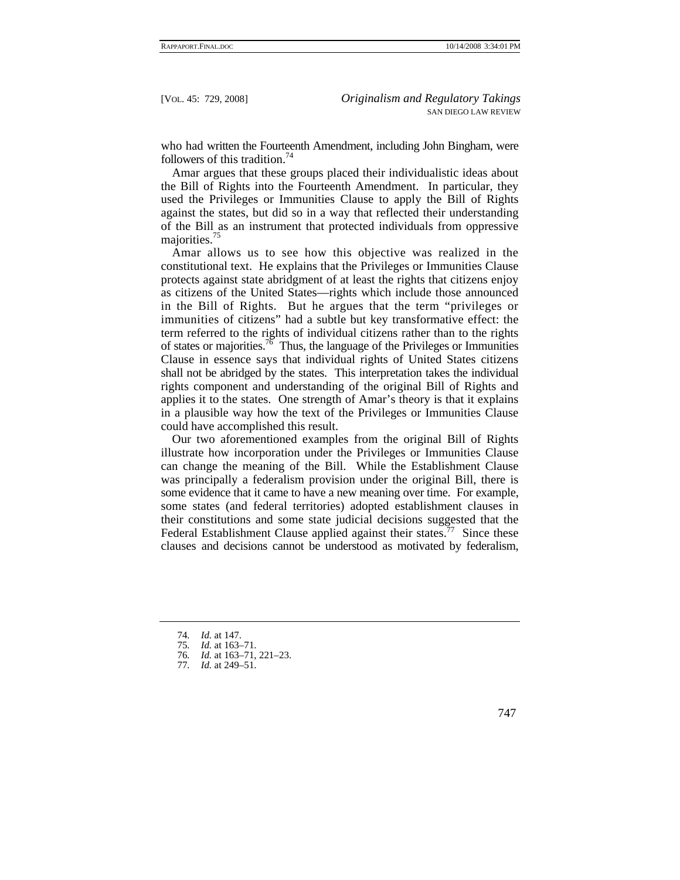who had written the Fourteenth Amendment, including John Bingham, were followers of this tradition.<sup>74</sup>

Amar argues that these groups placed their individualistic ideas about the Bill of Rights into the Fourteenth Amendment. In particular, they used the Privileges or Immunities Clause to apply the Bill of Rights against the states, but did so in a way that reflected their understanding of the Bill as an instrument that protected individuals from oppressive majorities.<sup>75</sup>

Amar allows us to see how this objective was realized in the constitutional text. He explains that the Privileges or Immunities Clause protects against state abridgment of at least the rights that citizens enjoy as citizens of the United States—rights which include those announced in the Bill of Rights. But he argues that the term "privileges or immunities of citizens" had a subtle but key transformative effect: the term referred to the rights of individual citizens rather than to the rights of states or majorities.<sup>76</sup> Thus, the language of the Privileges or Immunities Clause in essence says that individual rights of United States citizens shall not be abridged by the states. This interpretation takes the individual rights component and understanding of the original Bill of Rights and applies it to the states. One strength of Amar's theory is that it explains in a plausible way how the text of the Privileges or Immunities Clause could have accomplished this result.

Our two aforementioned examples from the original Bill of Rights illustrate how incorporation under the Privileges or Immunities Clause can change the meaning of the Bill. While the Establishment Clause was principally a federalism provision under the original Bill, there is some evidence that it came to have a new meaning over time. For example, some states (and federal territories) adopted establishment clauses in their constitutions and some state judicial decisions suggested that the Federal Establishment Clause applied against their states.<sup>77</sup> Since these clauses and decisions cannot be understood as motivated by federalism,

<sup>74</sup>*. Id.* at 147.

<sup>75</sup>*. Id.* at 163–71.

<sup>76</sup>*. Id.* at 163–71, 221–23.

<sup>77</sup>*. Id.* at 249–51.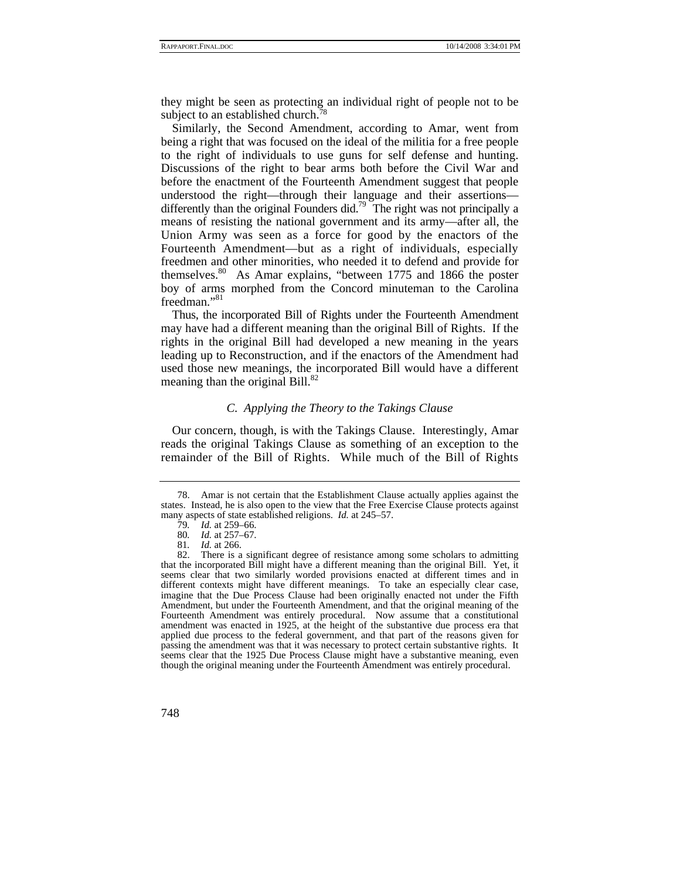they might be seen as protecting an individual right of people not to be subject to an established church.<sup>78</sup>

Similarly, the Second Amendment, according to Amar, went from being a right that was focused on the ideal of the militia for a free people to the right of individuals to use guns for self defense and hunting. Discussions of the right to bear arms both before the Civil War and before the enactment of the Fourteenth Amendment suggest that people understood the right—through their language and their assertions differently than the original Founders did.<sup>79</sup> The right was not principally a means of resisting the national government and its army—after all, the Union Army was seen as a force for good by the enactors of the Fourteenth Amendment—but as a right of individuals, especially freedmen and other minorities, who needed it to defend and provide for themselves.<sup>80</sup> As Amar explains, "between 1775 and 1866 the poster boy of arms morphed from the Concord minuteman to the Carolina freedman."<sup>81</sup>

Thus, the incorporated Bill of Rights under the Fourteenth Amendment may have had a different meaning than the original Bill of Rights. If the rights in the original Bill had developed a new meaning in the years leading up to Reconstruction, and if the enactors of the Amendment had used those new meanings, the incorporated Bill would have a different meaning than the original Bill.<sup>82</sup>

## *C. Applying the Theory to the Takings Clause*

Our concern, though, is with the Takings Clause. Interestingly, Amar reads the original Takings Clause as something of an exception to the remainder of the Bill of Rights. While much of the Bill of Rights

 <sup>78.</sup> Amar is not certain that the Establishment Clause actually applies against the states. Instead, he is also open to the view that the Free Exercise Clause protects against many aspects of state established religions. *Id.* at 245–57.

<sup>79</sup>*. Id.* at 259–66.

<sup>80</sup>*. Id.* at 257–67.

<sup>81</sup>*. Id.* at 266.

There is a significant degree of resistance among some scholars to admitting that the incorporated Bill might have a different meaning than the original Bill. Yet, it seems clear that two similarly worded provisions enacted at different times and in different contexts might have different meanings. To take an especially clear case, imagine that the Due Process Clause had been originally enacted not under the Fifth Amendment, but under the Fourteenth Amendment, and that the original meaning of the Fourteenth Amendment was entirely procedural. Now assume that a constitutional amendment was enacted in 1925, at the height of the substantive due process era that applied due process to the federal government, and that part of the reasons given for passing the amendment was that it was necessary to protect certain substantive rights. It seems clear that the 1925 Due Process Clause might have a substantive meaning, even though the original meaning under the Fourteenth Amendment was entirely procedural.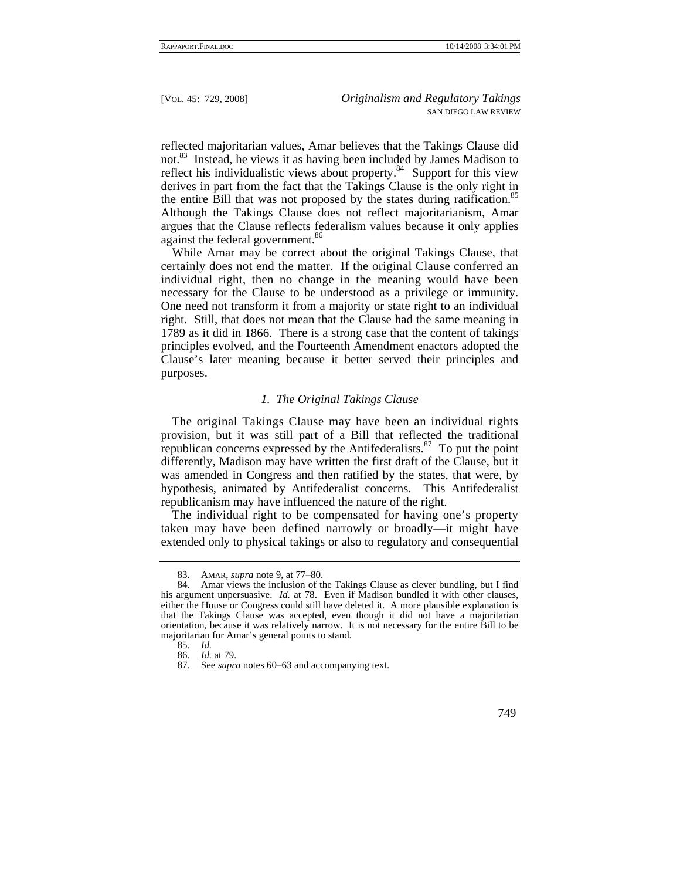reflected majoritarian values, Amar believes that the Takings Clause did not.<sup>83</sup> Instead, he views it as having been included by James Madison to reflect his individualistic views about property.<sup>84</sup> Support for this view derives in part from the fact that the Takings Clause is the only right in the entire Bill that was not proposed by the states during ratification.<sup>85</sup> Although the Takings Clause does not reflect majoritarianism, Amar argues that the Clause reflects federalism values because it only applies against the federal government.<sup>86</sup>

While Amar may be correct about the original Takings Clause, that certainly does not end the matter. If the original Clause conferred an individual right, then no change in the meaning would have been necessary for the Clause to be understood as a privilege or immunity. One need not transform it from a majority or state right to an individual right. Still, that does not mean that the Clause had the same meaning in 1789 as it did in 1866. There is a strong case that the content of takings principles evolved, and the Fourteenth Amendment enactors adopted the Clause's later meaning because it better served their principles and purposes.

## *1. The Original Takings Clause*

The original Takings Clause may have been an individual rights provision, but it was still part of a Bill that reflected the traditional republican concerns expressed by the Antifederalists. $87$  To put the point differently, Madison may have written the first draft of the Clause, but it was amended in Congress and then ratified by the states, that were, by hypothesis, animated by Antifederalist concerns. This Antifederalist republicanism may have influenced the nature of the right.

The individual right to be compensated for having one's property taken may have been defined narrowly or broadly—it might have extended only to physical takings or also to regulatory and consequential

 <sup>83.</sup> AMAR, *supra* note 9, at 77–80.

 <sup>84.</sup> Amar views the inclusion of the Takings Clause as clever bundling, but I find his argument unpersuasive. *Id.* at 78. Even if Madison bundled it with other clauses, either the House or Congress could still have deleted it. A more plausible explanation is that the Takings Clause was accepted, even though it did not have a majoritarian orientation, because it was relatively narrow. It is not necessary for the entire Bill to be majoritarian for Amar's general points to stand.

<sup>85</sup>*. Id.*

<sup>86</sup>*. Id.* at 79.

 <sup>87.</sup> See *supra* notes 60–63 and accompanying text.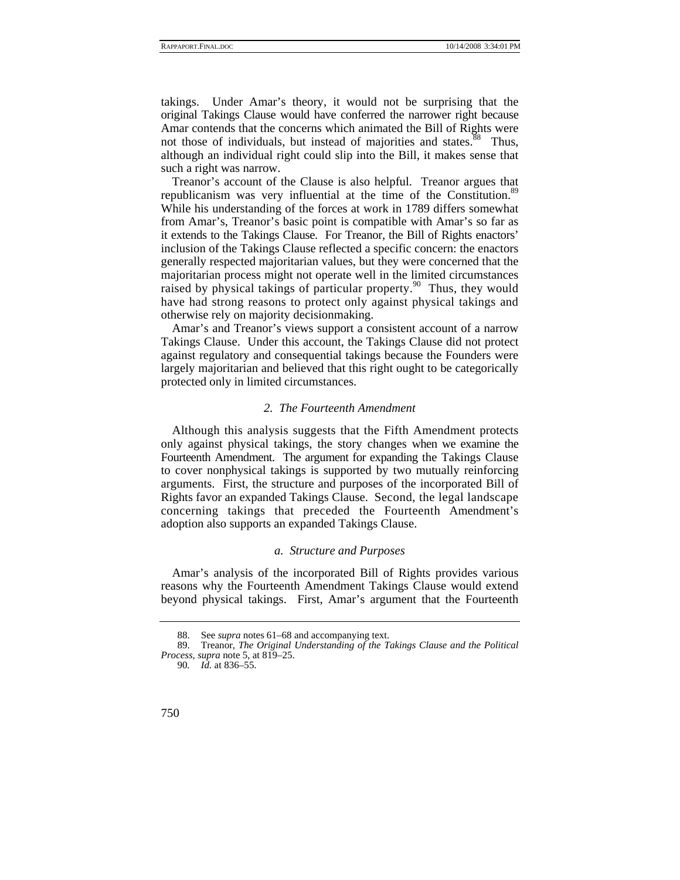takings. Under Amar's theory, it would not be surprising that the original Takings Clause would have conferred the narrower right because Amar contends that the concerns which animated the Bill of Rights were not those of individuals, but instead of majorities and states.<sup>88</sup> Thus, although an individual right could slip into the Bill, it makes sense that such a right was narrow.

Treanor's account of the Clause is also helpful. Treanor argues that republicanism was very influential at the time of the Constitution.<sup>89</sup> While his understanding of the forces at work in 1789 differs somewhat from Amar's, Treanor's basic point is compatible with Amar's so far as it extends to the Takings Clause. For Treanor, the Bill of Rights enactors' inclusion of the Takings Clause reflected a specific concern: the enactors generally respected majoritarian values, but they were concerned that the majoritarian process might not operate well in the limited circumstances raised by physical takings of particular property. <sup>90</sup> Thus, they would have had strong reasons to protect only against physical takings and otherwise rely on majority decisionmaking.

Amar's and Treanor's views support a consistent account of a narrow Takings Clause. Under this account, the Takings Clause did not protect against regulatory and consequential takings because the Founders were largely majoritarian and believed that this right ought to be categorically protected only in limited circumstances.

#### *2. The Fourteenth Amendment*

Although this analysis suggests that the Fifth Amendment protects only against physical takings, the story changes when we examine the Fourteenth Amendment. The argument for expanding the Takings Clause to cover nonphysical takings is supported by two mutually reinforcing arguments. First, the structure and purposes of the incorporated Bill of Rights favor an expanded Takings Clause. Second, the legal landscape concerning takings that preceded the Fourteenth Amendment's adoption also supports an expanded Takings Clause.

#### *a. Structure and Purposes*

Amar's analysis of the incorporated Bill of Rights provides various reasons why the Fourteenth Amendment Takings Clause would extend beyond physical takings. First, Amar's argument that the Fourteenth

 <sup>88.</sup> See *supra* notes 61–68 and accompanying text.

 <sup>89.</sup> Treanor, *The Original Understanding of the Takings Clause and the Political Process*, *supra* note 5, at 819–25.

<sup>90</sup>*. Id.* at 836–55.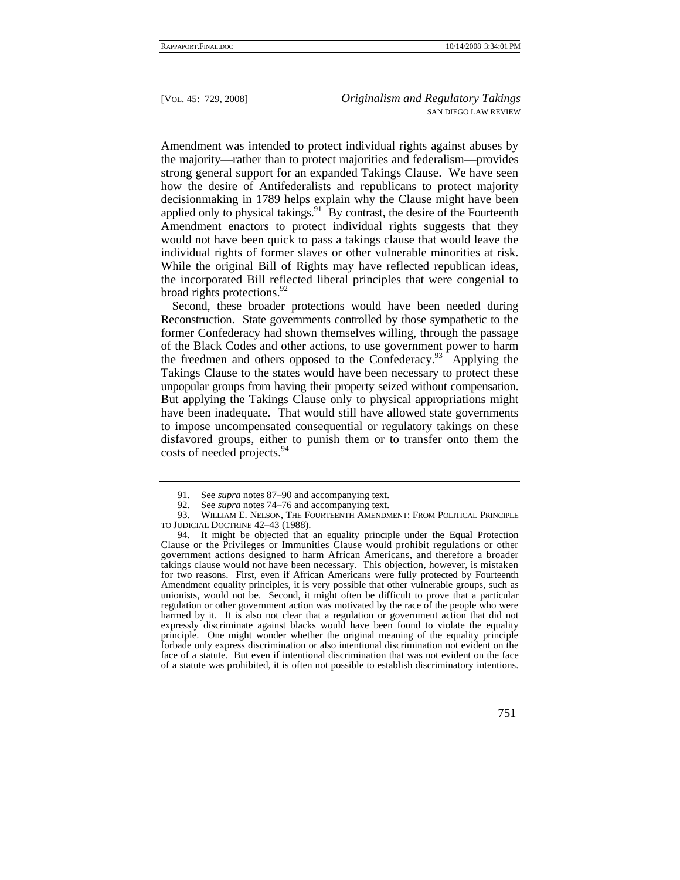Amendment was intended to protect individual rights against abuses by the majority—rather than to protect majorities and federalism—provides strong general support for an expanded Takings Clause. We have seen how the desire of Antifederalists and republicans to protect majority decisionmaking in 1789 helps explain why the Clause might have been applied only to physical takings. $91$  By contrast, the desire of the Fourteenth Amendment enactors to protect individual rights suggests that they would not have been quick to pass a takings clause that would leave the individual rights of former slaves or other vulnerable minorities at risk. While the original Bill of Rights may have reflected republican ideas, the incorporated Bill reflected liberal principles that were congenial to broad rights protections.<sup>92</sup>

Second, these broader protections would have been needed during Reconstruction. State governments controlled by those sympathetic to the former Confederacy had shown themselves willing, through the passage of the Black Codes and other actions, to use government power to harm the freedmen and others opposed to the Confederacy.<sup>93</sup> Applying the Takings Clause to the states would have been necessary to protect these unpopular groups from having their property seized without compensation. But applying the Takings Clause only to physical appropriations might have been inadequate. That would still have allowed state governments to impose uncompensated consequential or regulatory takings on these disfavored groups, either to punish them or to transfer onto them the costs of needed projects.<sup>94</sup>

<sup>91.</sup> See *supra* notes 87–90 and accompanying text.<br>92. See *supra* notes 74–76 and accompanying text.

See *supra* notes 74–76 and accompanying text.

<sup>93.</sup> WILLIAM E. NELSON, THE FOURTEENTH AMENDMENT: FROM POLITICAL PRINCIPLE TO JUDICIAL DOCTRINE 42–43 (1988).

 <sup>94.</sup> It might be objected that an equality principle under the Equal Protection Clause or the Privileges or Immunities Clause would prohibit regulations or other government actions designed to harm African Americans, and therefore a broader takings clause would not have been necessary. This objection, however, is mistaken for two reasons. First, even if African Americans were fully protected by Fourteenth Amendment equality principles, it is very possible that other vulnerable groups, such as unionists, would not be. Second, it might often be difficult to prove that a particular regulation or other government action was motivated by the race of the people who were harmed by it. It is also not clear that a regulation or government action that did not expressly discriminate against blacks would have been found to violate the equality principle. One might wonder whether the original meaning of the equality principle forbade only express discrimination or also intentional discrimination not evident on the face of a statute. But even if intentional discrimination that was not evident on the face of a statute was prohibited, it is often not possible to establish discriminatory intentions.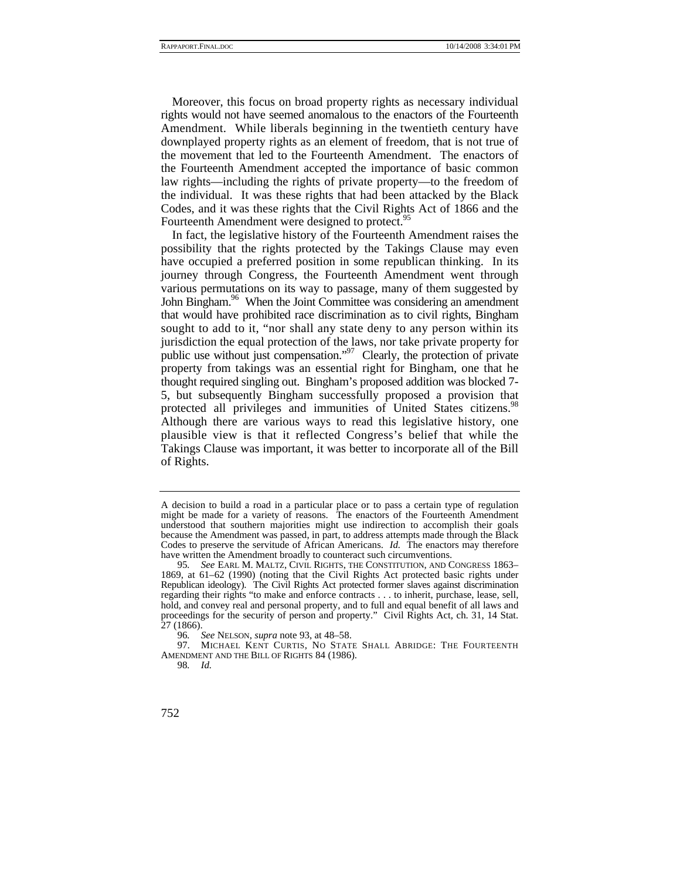Moreover, this focus on broad property rights as necessary individual rights would not have seemed anomalous to the enactors of the Fourteenth Amendment. While liberals beginning in the twentieth century have downplayed property rights as an element of freedom, that is not true of the movement that led to the Fourteenth Amendment. The enactors of the Fourteenth Amendment accepted the importance of basic common law rights—including the rights of private property—to the freedom of the individual. It was these rights that had been attacked by the Black Codes, and it was these rights that the Civil Rights Act of 1866 and the Fourteenth Amendment were designed to protect.<sup>95</sup>

In fact, the legislative history of the Fourteenth Amendment raises the possibility that the rights protected by the Takings Clause may even have occupied a preferred position in some republican thinking. In its journey through Congress, the Fourteenth Amendment went through various permutations on its way to passage, many of them suggested by John Bingham.<sup>96</sup> When the Joint Committee was considering an amendment that would have prohibited race discrimination as to civil rights, Bingham sought to add to it, "nor shall any state deny to any person within its jurisdiction the equal protection of the laws, nor take private property for public use without just compensation."<sup>97</sup> Clearly, the protection of private property from takings was an essential right for Bingham, one that he thought required singling out. Bingham's proposed addition was blocked 7- 5, but subsequently Bingham successfully proposed a provision that protected all privileges and immunities of United States citizens.<sup>98</sup> Although there are various ways to read this legislative history, one plausible view is that it reflected Congress's belief that while the Takings Clause was important, it was better to incorporate all of the Bill of Rights.

A decision to build a road in a particular place or to pass a certain type of regulation might be made for a variety of reasons. The enactors of the Fourteenth Amendment understood that southern majorities might use indirection to accomplish their goals because the Amendment was passed, in part, to address attempts made through the Black Codes to preserve the servitude of African Americans. *Id.* The enactors may therefore have written the Amendment broadly to counteract such circumventions.

<sup>95</sup>*. See* EARL M. MALTZ, CIVIL RIGHTS, THE CONSTITUTION, AND CONGRESS 1863– 1869, at 61–62 (1990) (noting that the Civil Rights Act protected basic rights under Republican ideology). The Civil Rights Act protected former slaves against discrimination regarding their rights "to make and enforce contracts . . . to inherit, purchase, lease, sell, hold, and convey real and personal property, and to full and equal benefit of all laws and proceedings for the security of person and property." Civil Rights Act, ch. 31, 14 Stat. 27 (1866).

<sup>96</sup>*. See* NELSON, *supra* note 93, at 48–58.

 <sup>97.</sup> MICHAEL KENT CURTIS, NO STATE SHALL ABRIDGE: THE FOURTEENTH AMENDMENT AND THE BILL OF RIGHTS 84 (1986).

<sup>98</sup>*. Id.*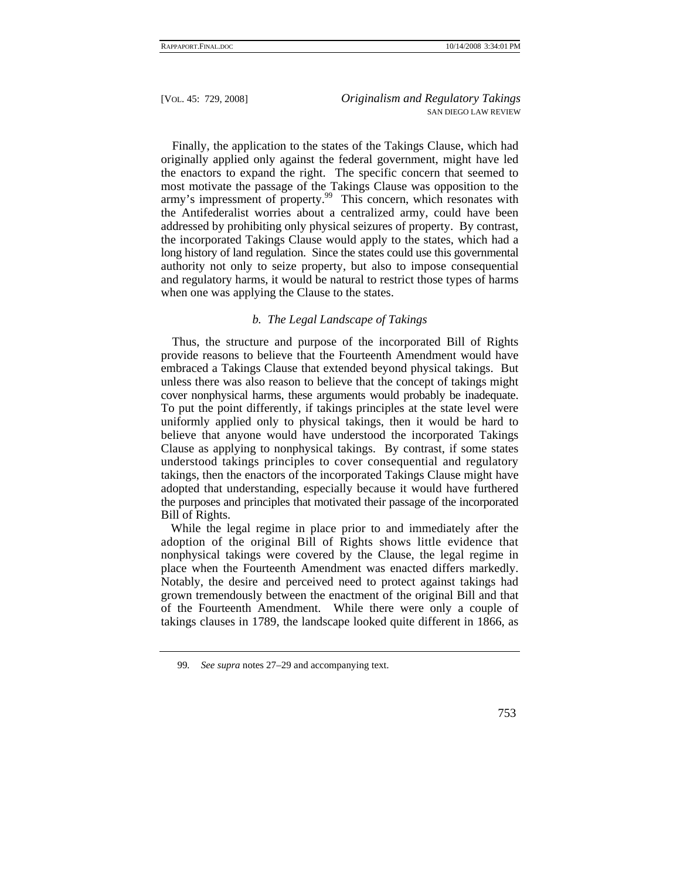Finally, the application to the states of the Takings Clause, which had originally applied only against the federal government, might have led the enactors to expand the right. The specific concern that seemed to most motivate the passage of the Takings Clause was opposition to the army's impressment of property.<sup>99</sup> This concern, which resonates with the Antifederalist worries about a centralized army, could have been addressed by prohibiting only physical seizures of property. By contrast, the incorporated Takings Clause would apply to the states, which had a long history of land regulation. Since the states could use this governmental authority not only to seize property, but also to impose consequential and regulatory harms, it would be natural to restrict those types of harms when one was applying the Clause to the states.

## *b. The Legal Landscape of Takings*

Thus, the structure and purpose of the incorporated Bill of Rights provide reasons to believe that the Fourteenth Amendment would have embraced a Takings Clause that extended beyond physical takings. But unless there was also reason to believe that the concept of takings might cover nonphysical harms, these arguments would probably be inadequate. To put the point differently, if takings principles at the state level were uniformly applied only to physical takings, then it would be hard to believe that anyone would have understood the incorporated Takings Clause as applying to nonphysical takings. By contrast, if some states understood takings principles to cover consequential and regulatory takings, then the enactors of the incorporated Takings Clause might have adopted that understanding, especially because it would have furthered the purposes and principles that motivated their passage of the incorporated Bill of Rights.

While the legal regime in place prior to and immediately after the adoption of the original Bill of Rights shows little evidence that nonphysical takings were covered by the Clause, the legal regime in place when the Fourteenth Amendment was enacted differs markedly. Notably, the desire and perceived need to protect against takings had grown tremendously between the enactment of the original Bill and that of the Fourteenth Amendment. While there were only a couple of takings clauses in 1789, the landscape looked quite different in 1866, as

<sup>99</sup>*. See supra* notes 27–29 and accompanying text.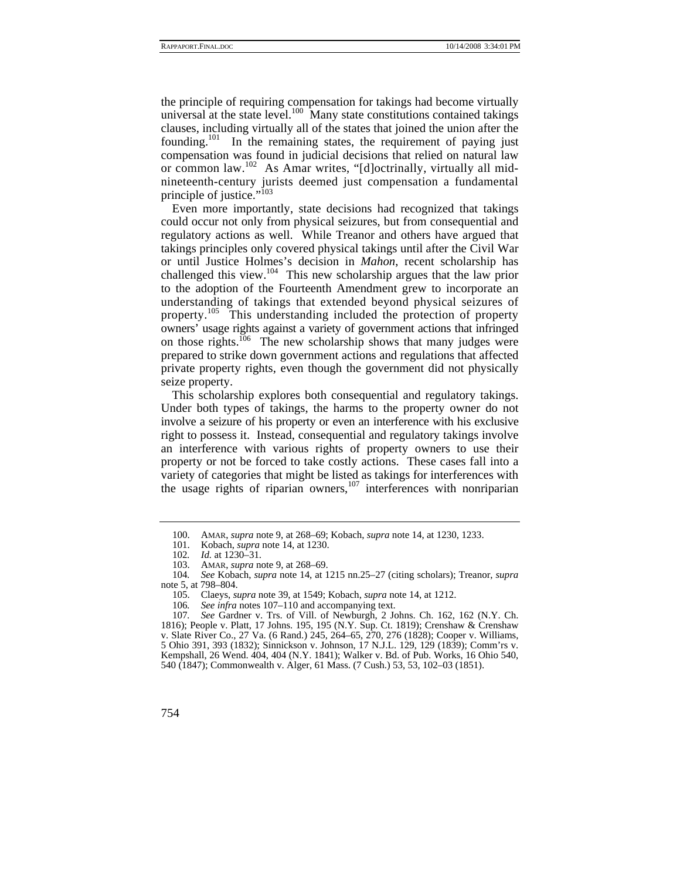the principle of requiring compensation for takings had become virtually universal at the state level.<sup>100</sup> Many state constitutions contained takings clauses, including virtually all of the states that joined the union after the founding.<sup>101</sup> In the remaining states, the requirement of paying just compensation was found in judicial decisions that relied on natural law or common law.102 As Amar writes, "[d]octrinally, virtually all midnineteenth-century jurists deemed just compensation a fundamental principle of justice."<sup>103</sup>

Even more importantly, state decisions had recognized that takings could occur not only from physical seizures, but from consequential and regulatory actions as well. While Treanor and others have argued that takings principles only covered physical takings until after the Civil War or until Justice Holmes's decision in *Mahon*, recent scholarship has challenged this view.<sup>104</sup> This new scholarship argues that the law prior to the adoption of the Fourteenth Amendment grew to incorporate an understanding of takings that extended beyond physical seizures of property.<sup>105</sup> This understanding included the protection of property owners' usage rights against a variety of government actions that infringed on those rights.<sup> $106$ </sup> The new scholarship shows that many judges were prepared to strike down government actions and regulations that affected private property rights, even though the government did not physically seize property.

This scholarship explores both consequential and regulatory takings. Under both types of takings, the harms to the property owner do not involve a seizure of his property or even an interference with his exclusive right to possess it. Instead, consequential and regulatory takings involve an interference with various rights of property owners to use their property or not be forced to take costly actions. These cases fall into a variety of categories that might be listed as takings for interferences with the usage rights of riparian owners, $107$  interferences with nonriparian

 <sup>100.</sup> AMAR, *supra* note 9, at 268–69; Kobach, *supra* note 14, at 1230, 1233.

Kobach, *supra* note 14, at 1230.

<sup>102</sup>*. Id.* at 1230–31.

 <sup>103.</sup> AMAR, *supra* note 9, at 268–69.

<sup>104</sup>*. See* Kobach, *supra* note 14, at 1215 nn.25–27 (citing scholars); Treanor, *supra* note 5, at 798–804.

 <sup>105.</sup> Claeys, *supra* note 39, at 1549; Kobach, *supra* note 14, at 1212.

<sup>106.</sup> See *infra* notes 107–110 and accompanying text.<br>107. See Gardner v. Trs. of Vill. of Newburgh, 2 Jo

<sup>107</sup>*. See* Gardner v. Trs. of Vill. of Newburgh, 2 Johns. Ch. 162, 162 (N.Y. Ch. 1816); People v. Platt, 17 Johns. 195, 195 (N.Y. Sup. Ct. 1819); Crenshaw & Crenshaw v. Slate River Co., 27 Va. (6 Rand.) 245, 264–65, 270, 276 (1828); Cooper v. Williams, 5 Ohio 391, 393 (1832); Sinnickson v. Johnson, 17 N.J.L. 129, 129 (1839); Comm'rs v. Kempshall, 26 Wend. 404, 404 (N.Y. 1841); Walker v. Bd. of Pub. Works, 16 Ohio 540, 540 (1847); Commonwealth v. Alger, 61 Mass. (7 Cush.) 53, 53, 102–03 (1851).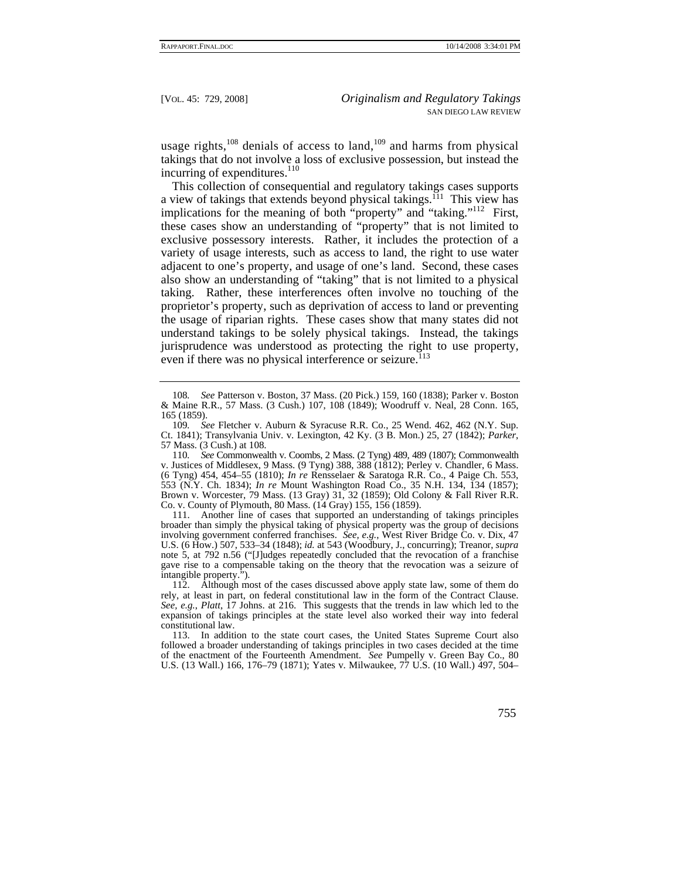usage rights, $108$  denials of access to land, $109$  and harms from physical takings that do not involve a loss of exclusive possession, but instead the incurring of expenditures. $110$ 

This collection of consequential and regulatory takings cases supports a view of takings that extends beyond physical takings.<sup> $111$ </sup> This view has implications for the meaning of both "property" and "taking."<sup>112</sup> First, these cases show an understanding of "property" that is not limited to exclusive possessory interests. Rather, it includes the protection of a variety of usage interests, such as access to land, the right to use water adjacent to one's property, and usage of one's land. Second, these cases also show an understanding of "taking" that is not limited to a physical taking. Rather, these interferences often involve no touching of the proprietor's property, such as deprivation of access to land or preventing the usage of riparian rights. These cases show that many states did not understand takings to be solely physical takings. Instead, the takings jurisprudence was understood as protecting the right to use property, even if there was no physical interference or seizure.<sup>113</sup>

110*. See* Commonwealth v. Coombs, 2 Mass. (2 Tyng) 489, 489 (1807); Commonwealth v. Justices of Middlesex, 9 Mass. (9 Tyng) 388, 388 (1812); Perley v. Chandler, 6 Mass. (6 Tyng) 454, 454–55 (1810); *In re* Rensselaer & Saratoga R.R. Co., 4 Paige Ch. 553, 553 (N.Y. Ch. 1834); *In re* Mount Washington Road Co., 35 N.H. 134, 134 (1857); Brown v. Worcester, 79 Mass. (13 Gray) 31, 32 (1859); Old Colony & Fall River R.R. Co. v. County of Plymouth, 80 Mass. (14 Gray) 155, 156 (1859).

 111. Another line of cases that supported an understanding of takings principles broader than simply the physical taking of physical property was the group of decisions involving government conferred franchises. *See, e.g.*, West River Bridge Co. v. Dix, 47 U.S. (6 How.) 507, 533–34 (1848); *id.* at 543 (Woodbury, J., concurring); Treanor, *supra* note 5, at 792 n.56 ("[J]udges repeatedly concluded that the revocation of a franchise gave rise to a compensable taking on the theory that the revocation was a seizure of intangible property.").

 112. Although most of the cases discussed above apply state law, some of them do rely, at least in part, on federal constitutional law in the form of the Contract Clause. *See, e.g.*, *Platt*, 17 Johns. at 216. This suggests that the trends in law which led to the expansion of takings principles at the state level also worked their way into federal constitutional law.

 113. In addition to the state court cases, the United States Supreme Court also followed a broader understanding of takings principles in two cases decided at the time of the enactment of the Fourteenth Amendment. *See* Pumpelly v. Green Bay Co., 80 U.S. (13 Wall.) 166, 176–79 (1871); Yates v. Milwaukee, 77 U.S. (10 Wall.) 497, 504–

<sup>108</sup>*. See* Patterson v. Boston, 37 Mass. (20 Pick.) 159, 160 (1838); Parker v. Boston & Maine R.R., 57 Mass. (3 Cush.) 107, 108 (1849); Woodruff v. Neal, 28 Conn. 165, 165 (1859).

<sup>109</sup>*. See* Fletcher v. Auburn & Syracuse R.R. Co., 25 Wend. 462, 462 (N.Y. Sup. Ct. 1841); Transylvania Univ. v. Lexington, 42 Ky. (3 B. Mon.) 25, 27 (1842); *Parker*, 57 Mass. (3 Cush.) at 108.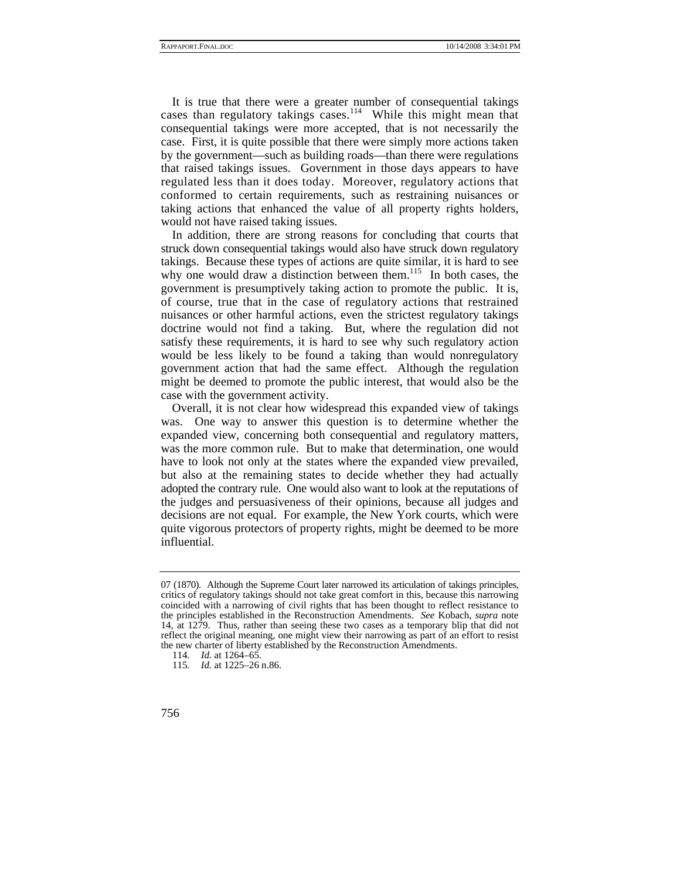It is true that there were a greater number of consequential takings cases than regulatory takings cases.<sup>114</sup> While this might mean that consequential takings were more accepted, that is not necessarily the case. First, it is quite possible that there were simply more actions taken by the government—such as building roads—than there were regulations that raised takings issues. Government in those days appears to have regulated less than it does today. Moreover, regulatory actions that conformed to certain requirements, such as restraining nuisances or taking actions that enhanced the value of all property rights holders, would not have raised taking issues.

In addition, there are strong reasons for concluding that courts that struck down consequential takings would also have struck down regulatory takings. Because these types of actions are quite similar, it is hard to see why one would draw a distinction between them.<sup>115</sup> In both cases, the government is presumptively taking action to promote the public. It is, of course, true that in the case of regulatory actions that restrained nuisances or other harmful actions, even the strictest regulatory takings doctrine would not find a taking. But, where the regulation did not satisfy these requirements, it is hard to see why such regulatory action would be less likely to be found a taking than would nonregulatory government action that had the same effect. Although the regulation might be deemed to promote the public interest, that would also be the case with the government activity.

Overall, it is not clear how widespread this expanded view of takings was. One way to answer this question is to determine whether the expanded view, concerning both consequential and regulatory matters, was the more common rule. But to make that determination, one would have to look not only at the states where the expanded view prevailed, but also at the remaining states to decide whether they had actually adopted the contrary rule. One would also want to look at the reputations of the judges and persuasiveness of their opinions, because all judges and decisions are not equal. For example, the New York courts, which were quite vigorous protectors of property rights, might be deemed to be more influential.

<sup>07 (1870).</sup> Although the Supreme Court later narrowed its articulation of takings principles, critics of regulatory takings should not take great comfort in this, because this narrowing coincided with a narrowing of civil rights that has been thought to reflect resistance to the principles established in the Reconstruction Amendments. *See* Kobach, *supra* note 14, at 1279. Thus, rather than seeing these two cases as a temporary blip that did not reflect the original meaning, one might view their narrowing as part of an effort to resist the new charter of liberty established by the Reconstruction Amendments.

<sup>114</sup>*. Id.* at 1264–65.

<sup>115</sup>*. Id.* at 1225–26 n.86.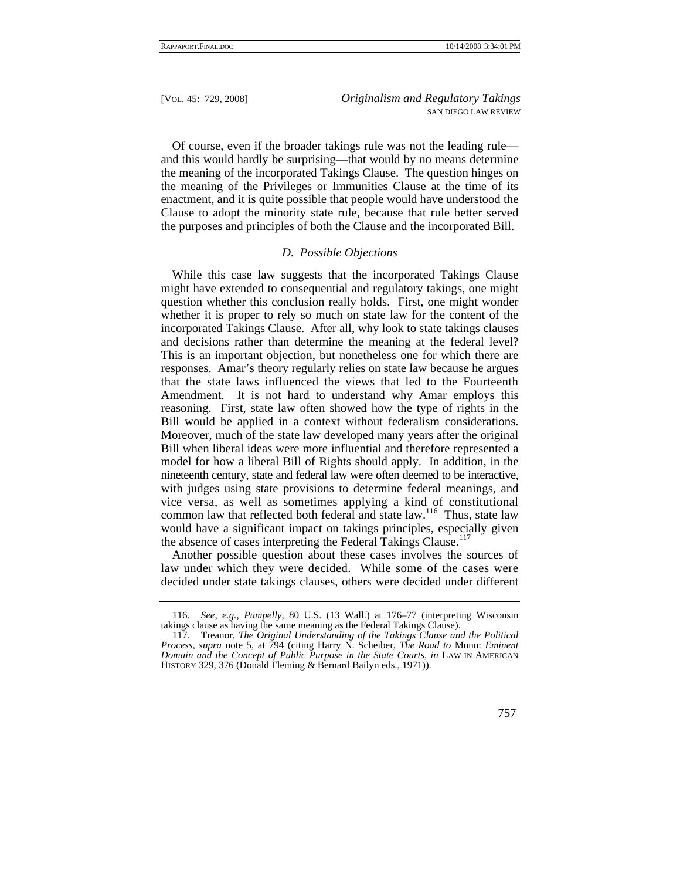Of course, even if the broader takings rule was not the leading rule and this would hardly be surprising—that would by no means determine the meaning of the incorporated Takings Clause. The question hinges on the meaning of the Privileges or Immunities Clause at the time of its enactment, and it is quite possible that people would have understood the Clause to adopt the minority state rule, because that rule better served the purposes and principles of both the Clause and the incorporated Bill.

## *D. Possible Objections*

While this case law suggests that the incorporated Takings Clause might have extended to consequential and regulatory takings, one might question whether this conclusion really holds. First, one might wonder whether it is proper to rely so much on state law for the content of the incorporated Takings Clause. After all, why look to state takings clauses and decisions rather than determine the meaning at the federal level? This is an important objection, but nonetheless one for which there are responses. Amar's theory regularly relies on state law because he argues that the state laws influenced the views that led to the Fourteenth Amendment. It is not hard to understand why Amar employs this reasoning. First, state law often showed how the type of rights in the Bill would be applied in a context without federalism considerations. Moreover, much of the state law developed many years after the original Bill when liberal ideas were more influential and therefore represented a model for how a liberal Bill of Rights should apply. In addition, in the nineteenth century, state and federal law were often deemed to be interactive, with judges using state provisions to determine federal meanings, and vice versa, as well as sometimes applying a kind of constitutional common law that reflected both federal and state law.<sup>116</sup> Thus, state law would have a significant impact on takings principles, especially given the absence of cases interpreting the Federal Takings Clause.<sup>117</sup>

Another possible question about these cases involves the sources of law under which they were decided. While some of the cases were decided under state takings clauses, others were decided under different

<sup>116</sup>*. See, e.g.*, *Pumpelly*, 80 U.S. (13 Wall.) at 176–77 (interpreting Wisconsin takings clause as having the same meaning as the Federal Takings Clause).

 <sup>117.</sup> Treanor, *The Original Understanding of the Takings Clause and the Political Process*, *supra* note 5, at 794 (citing Harry N. Scheiber, *The Road to* Munn: *Eminent Domain and the Concept of Public Purpose in the State Courts*, *in* LAW IN AMERICAN HISTORY 329, 376 (Donald Fleming & Bernard Bailyn eds., 1971)).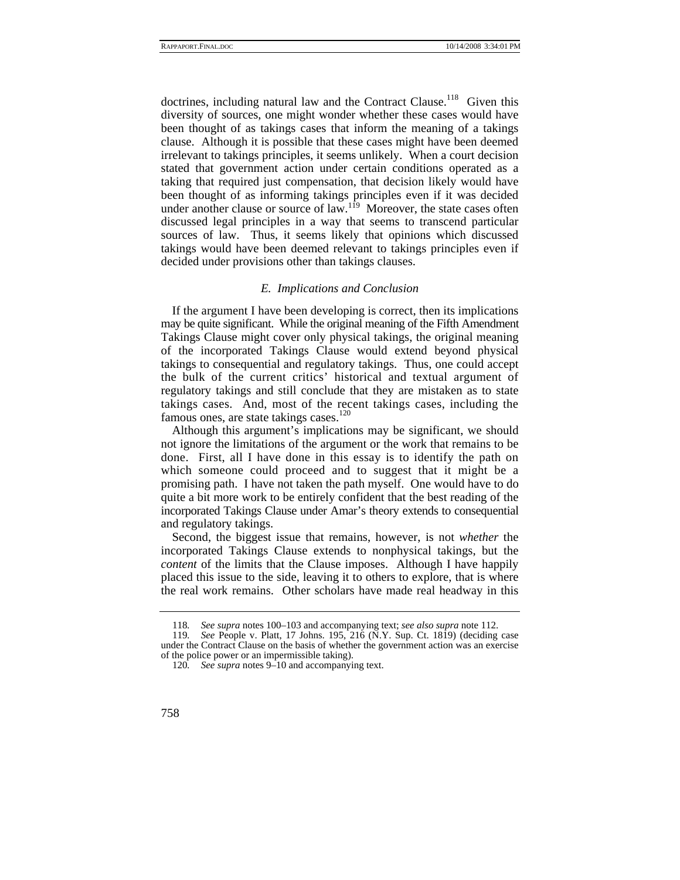doctrines, including natural law and the Contract Clause.<sup>118</sup> Given this diversity of sources, one might wonder whether these cases would have been thought of as takings cases that inform the meaning of a takings clause. Although it is possible that these cases might have been deemed irrelevant to takings principles, it seems unlikely. When a court decision stated that government action under certain conditions operated as a taking that required just compensation, that decision likely would have been thought of as informing takings principles even if it was decided under another clause or source of law.<sup>119</sup> Moreover, the state cases often discussed legal principles in a way that seems to transcend particular sources of law. Thus, it seems likely that opinions which discussed takings would have been deemed relevant to takings principles even if decided under provisions other than takings clauses.

#### *E. Implications and Conclusion*

If the argument I have been developing is correct, then its implications may be quite significant. While the original meaning of the Fifth Amendment Takings Clause might cover only physical takings, the original meaning of the incorporated Takings Clause would extend beyond physical takings to consequential and regulatory takings. Thus, one could accept the bulk of the current critics' historical and textual argument of regulatory takings and still conclude that they are mistaken as to state takings cases. And, most of the recent takings cases, including the famous ones, are state takings cases.<sup>120</sup>

Although this argument's implications may be significant, we should not ignore the limitations of the argument or the work that remains to be done. First, all I have done in this essay is to identify the path on which someone could proceed and to suggest that it might be a promising path. I have not taken the path myself. One would have to do quite a bit more work to be entirely confident that the best reading of the incorporated Takings Clause under Amar's theory extends to consequential and regulatory takings.

Second, the biggest issue that remains, however, is not *whether* the incorporated Takings Clause extends to nonphysical takings, but the *content* of the limits that the Clause imposes. Although I have happily placed this issue to the side, leaving it to others to explore, that is where the real work remains. Other scholars have made real headway in this

<sup>118</sup>*. See supra* notes 100–103 and accompanying text; *see also supra* note 112.

<sup>119</sup>*. See* People v. Platt, 17 Johns. 195, 216 (N.Y. Sup. Ct. 1819) (deciding case under the Contract Clause on the basis of whether the government action was an exercise of the police power or an impermissible taking).

<sup>120</sup>*. See supra* notes 9–10 and accompanying text.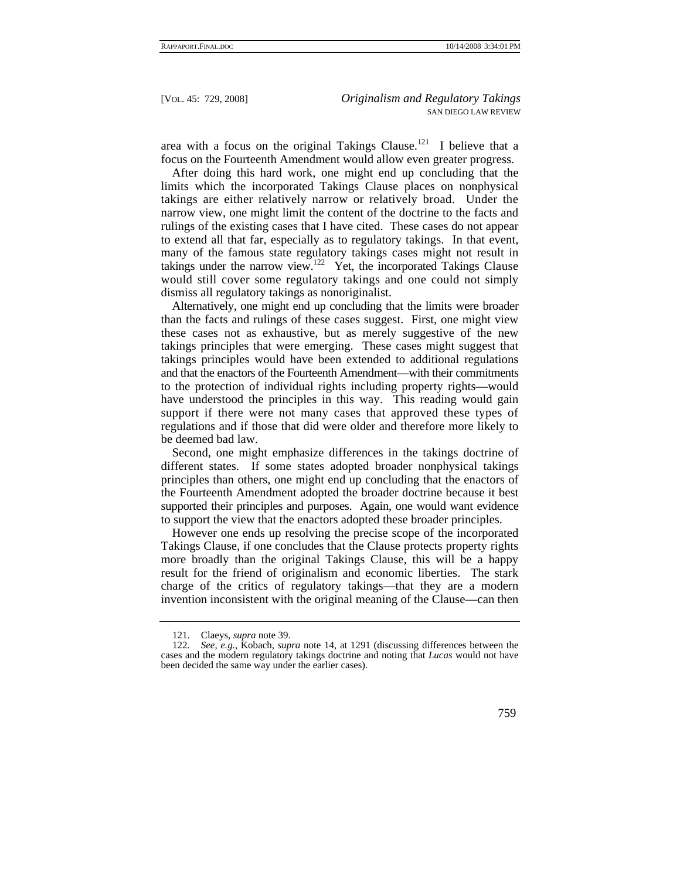area with a focus on the original Takings Clause.<sup>121</sup> I believe that a focus on the Fourteenth Amendment would allow even greater progress.

After doing this hard work, one might end up concluding that the limits which the incorporated Takings Clause places on nonphysical takings are either relatively narrow or relatively broad. Under the narrow view, one might limit the content of the doctrine to the facts and rulings of the existing cases that I have cited. These cases do not appear to extend all that far, especially as to regulatory takings. In that event, many of the famous state regulatory takings cases might not result in takings under the narrow view.<sup>122</sup> Yet, the incorporated Takings Clause would still cover some regulatory takings and one could not simply dismiss all regulatory takings as nonoriginalist.

Alternatively, one might end up concluding that the limits were broader than the facts and rulings of these cases suggest. First, one might view these cases not as exhaustive, but as merely suggestive of the new takings principles that were emerging. These cases might suggest that takings principles would have been extended to additional regulations and that the enactors of the Fourteenth Amendment—with their commitments to the protection of individual rights including property rights—would have understood the principles in this way. This reading would gain support if there were not many cases that approved these types of regulations and if those that did were older and therefore more likely to be deemed bad law.

Second, one might emphasize differences in the takings doctrine of different states. If some states adopted broader nonphysical takings principles than others, one might end up concluding that the enactors of the Fourteenth Amendment adopted the broader doctrine because it best supported their principles and purposes. Again, one would want evidence to support the view that the enactors adopted these broader principles.

However one ends up resolving the precise scope of the incorporated Takings Clause, if one concludes that the Clause protects property rights more broadly than the original Takings Clause, this will be a happy result for the friend of originalism and economic liberties. The stark charge of the critics of regulatory takings—that they are a modern invention inconsistent with the original meaning of the Clause—can then

 <sup>121.</sup> Claeys, *supra* note 39.

<sup>122</sup>*. See, e.g.*, Kobach, *supra* note 14, at 1291 (discussing differences between the cases and the modern regulatory takings doctrine and noting that *Lucas* would not have been decided the same way under the earlier cases).